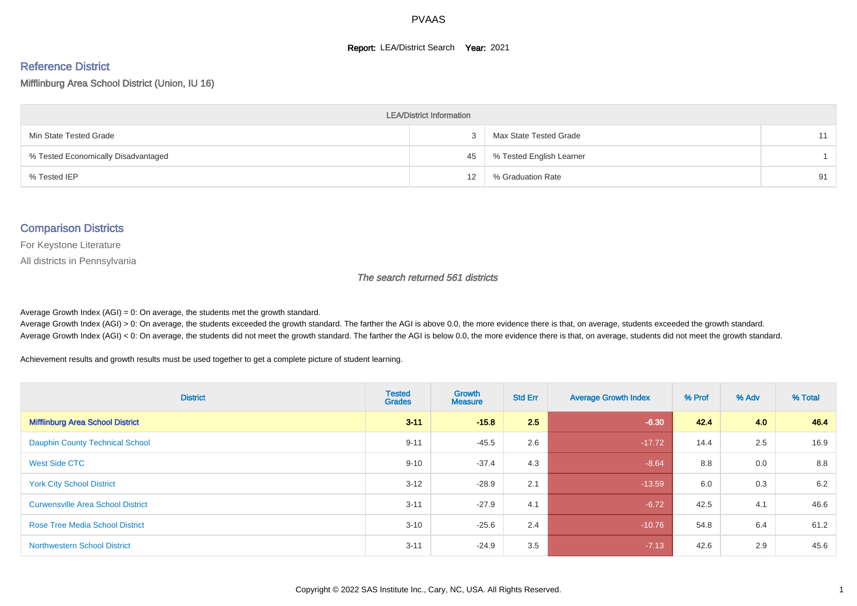#### **Report: LEA/District Search Year: 2021**

# Reference District

Mifflinburg Area School District (Union, IU 16)

| <b>LEA/District Information</b>     |    |                          |    |  |  |  |  |  |  |  |
|-------------------------------------|----|--------------------------|----|--|--|--|--|--|--|--|
| Min State Tested Grade              |    | Max State Tested Grade   | 11 |  |  |  |  |  |  |  |
| % Tested Economically Disadvantaged | 45 | % Tested English Learner |    |  |  |  |  |  |  |  |
| % Tested IEP                        | 12 | % Graduation Rate        | 91 |  |  |  |  |  |  |  |

#### Comparison Districts

For Keystone Literature

All districts in Pennsylvania

The search returned 561 districts

Average Growth Index  $(AGI) = 0$ : On average, the students met the growth standard.

Average Growth Index (AGI) > 0: On average, the students exceeded the growth standard. The farther the AGI is above 0.0, the more evidence there is that, on average, students exceeded the growth standard. Average Growth Index (AGI) < 0: On average, the students did not meet the growth standard. The farther the AGI is below 0.0, the more evidence there is that, on average, students did not meet the growth standard.

Achievement results and growth results must be used together to get a complete picture of student learning.

| <b>District</b>                          | <b>Tested</b><br><b>Grades</b> | Growth<br><b>Measure</b> | <b>Std Err</b> | <b>Average Growth Index</b> | % Prof | % Adv | % Total |
|------------------------------------------|--------------------------------|--------------------------|----------------|-----------------------------|--------|-------|---------|
| <b>Mifflinburg Area School District</b>  | $3 - 11$                       | $-15.8$                  | 2.5            | $-6.30$                     | 42.4   | 4.0   | 46.4    |
| <b>Dauphin County Technical School</b>   | $9 - 11$                       | $-45.5$                  | 2.6            | $-17.72$                    | 14.4   | 2.5   | 16.9    |
| West Side CTC                            | $9 - 10$                       | $-37.4$                  | 4.3            | $-8.64$                     | 8.8    | 0.0   | 8.8     |
| <b>York City School District</b>         | $3 - 12$                       | $-28.9$                  | 2.1            | $-13.59$                    | 6.0    | 0.3   | 6.2     |
| <b>Curwensville Area School District</b> | $3 - 11$                       | $-27.9$                  | 4.1            | $-6.72$                     | 42.5   | 4.1   | 46.6    |
| <b>Rose Tree Media School District</b>   | $3 - 10$                       | $-25.6$                  | 2.4            | $-10.76$                    | 54.8   | 6.4   | 61.2    |
| <b>Northwestern School District</b>      | $3 - 11$                       | $-24.9$                  | 3.5            | $-7.13$                     | 42.6   | 2.9   | 45.6    |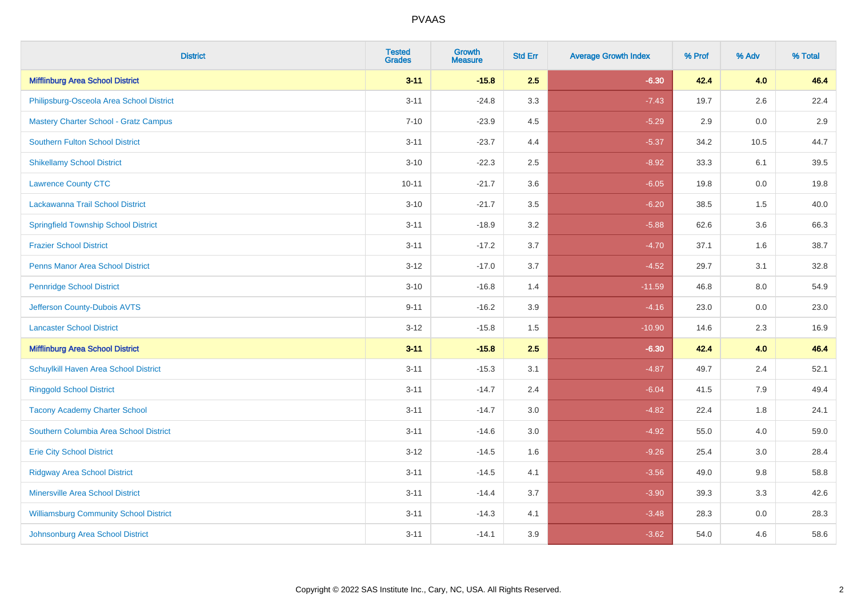| <b>District</b>                               | <b>Tested</b><br><b>Grades</b> | Growth<br><b>Measure</b> | <b>Std Err</b> | <b>Average Growth Index</b> | % Prof | % Adv | % Total |
|-----------------------------------------------|--------------------------------|--------------------------|----------------|-----------------------------|--------|-------|---------|
| <b>Mifflinburg Area School District</b>       | $3 - 11$                       | $-15.8$                  | 2.5            | $-6.30$                     | 42.4   | 4.0   | 46.4    |
| Philipsburg-Osceola Area School District      | $3 - 11$                       | $-24.8$                  | 3.3            | $-7.43$                     | 19.7   | 2.6   | 22.4    |
| <b>Mastery Charter School - Gratz Campus</b>  | $7 - 10$                       | $-23.9$                  | 4.5            | $-5.29$                     | 2.9    | 0.0   | 2.9     |
| <b>Southern Fulton School District</b>        | $3 - 11$                       | $-23.7$                  | 4.4            | $-5.37$                     | 34.2   | 10.5  | 44.7    |
| <b>Shikellamy School District</b>             | $3 - 10$                       | $-22.3$                  | 2.5            | $-8.92$                     | 33.3   | 6.1   | 39.5    |
| <b>Lawrence County CTC</b>                    | $10 - 11$                      | $-21.7$                  | 3.6            | $-6.05$                     | 19.8   | 0.0   | 19.8    |
| Lackawanna Trail School District              | $3 - 10$                       | $-21.7$                  | $3.5\,$        | $-6.20$                     | 38.5   | 1.5   | 40.0    |
| <b>Springfield Township School District</b>   | $3 - 11$                       | $-18.9$                  | 3.2            | $-5.88$                     | 62.6   | 3.6   | 66.3    |
| <b>Frazier School District</b>                | $3 - 11$                       | $-17.2$                  | 3.7            | $-4.70$                     | 37.1   | 1.6   | 38.7    |
| <b>Penns Manor Area School District</b>       | $3 - 12$                       | $-17.0$                  | 3.7            | $-4.52$                     | 29.7   | 3.1   | 32.8    |
| <b>Pennridge School District</b>              | $3 - 10$                       | $-16.8$                  | 1.4            | $-11.59$                    | 46.8   | 8.0   | 54.9    |
| Jefferson County-Dubois AVTS                  | $9 - 11$                       | $-16.2$                  | 3.9            | $-4.16$                     | 23.0   | 0.0   | 23.0    |
| <b>Lancaster School District</b>              | $3 - 12$                       | $-15.8$                  | 1.5            | $-10.90$                    | 14.6   | 2.3   | 16.9    |
| <b>Mifflinburg Area School District</b>       | $3 - 11$                       | $-15.8$                  | 2.5            | $-6.30$                     | 42.4   | 4.0   | 46.4    |
| Schuylkill Haven Area School District         | $3 - 11$                       | $-15.3$                  | 3.1            | $-4.87$                     | 49.7   | 2.4   | 52.1    |
| <b>Ringgold School District</b>               | $3 - 11$                       | $-14.7$                  | 2.4            | $-6.04$                     | 41.5   | 7.9   | 49.4    |
| <b>Tacony Academy Charter School</b>          | $3 - 11$                       | $-14.7$                  | 3.0            | $-4.82$                     | 22.4   | 1.8   | 24.1    |
| Southern Columbia Area School District        | $3 - 11$                       | $-14.6$                  | 3.0            | $-4.92$                     | 55.0   | 4.0   | 59.0    |
| <b>Erie City School District</b>              | $3 - 12$                       | $-14.5$                  | 1.6            | $-9.26$                     | 25.4   | 3.0   | 28.4    |
| <b>Ridgway Area School District</b>           | $3 - 11$                       | $-14.5$                  | 4.1            | $-3.56$                     | 49.0   | 9.8   | 58.8    |
| Minersville Area School District              | $3 - 11$                       | $-14.4$                  | 3.7            | $-3.90$                     | 39.3   | 3.3   | 42.6    |
| <b>Williamsburg Community School District</b> | $3 - 11$                       | $-14.3$                  | 4.1            | $-3.48$                     | 28.3   | 0.0   | 28.3    |
| Johnsonburg Area School District              | $3 - 11$                       | $-14.1$                  | 3.9            | $-3.62$                     | 54.0   | 4.6   | 58.6    |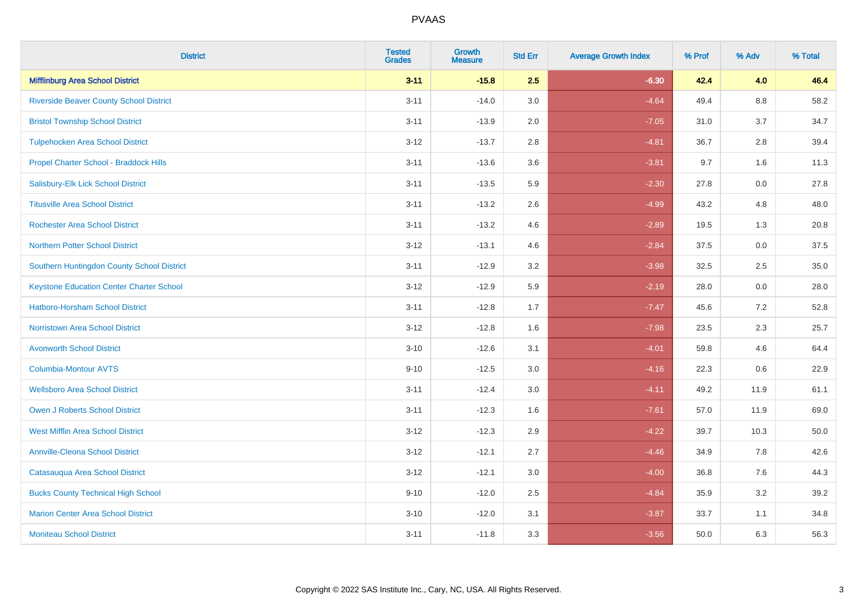| <b>District</b>                                 | <b>Tested</b><br><b>Grades</b> | <b>Growth</b><br><b>Measure</b> | <b>Std Err</b> | <b>Average Growth Index</b> | % Prof | % Adv   | % Total |
|-------------------------------------------------|--------------------------------|---------------------------------|----------------|-----------------------------|--------|---------|---------|
| <b>Mifflinburg Area School District</b>         | $3 - 11$                       | $-15.8$                         | 2.5            | $-6.30$                     | 42.4   | 4.0     | 46.4    |
| <b>Riverside Beaver County School District</b>  | $3 - 11$                       | $-14.0$                         | 3.0            | $-4.64$                     | 49.4   | $8.8\,$ | 58.2    |
| <b>Bristol Township School District</b>         | $3 - 11$                       | $-13.9$                         | 2.0            | $-7.05$                     | 31.0   | 3.7     | 34.7    |
| <b>Tulpehocken Area School District</b>         | $3 - 12$                       | $-13.7$                         | 2.8            | $-4.81$                     | 36.7   | 2.8     | 39.4    |
| Propel Charter School - Braddock Hills          | $3 - 11$                       | $-13.6$                         | 3.6            | $-3.81$                     | 9.7    | 1.6     | 11.3    |
| Salisbury-Elk Lick School District              | $3 - 11$                       | $-13.5$                         | 5.9            | $-2.30$                     | 27.8   | 0.0     | 27.8    |
| <b>Titusville Area School District</b>          | $3 - 11$                       | $-13.2$                         | 2.6            | $-4.99$                     | 43.2   | 4.8     | 48.0    |
| <b>Rochester Area School District</b>           | $3 - 11$                       | $-13.2$                         | 4.6            | $-2.89$                     | 19.5   | 1.3     | 20.8    |
| <b>Northern Potter School District</b>          | $3 - 12$                       | $-13.1$                         | 4.6            | $-2.84$                     | 37.5   | 0.0     | 37.5    |
| Southern Huntingdon County School District      | $3 - 11$                       | $-12.9$                         | 3.2            | $-3.98$                     | 32.5   | $2.5\,$ | 35.0    |
| <b>Keystone Education Center Charter School</b> | $3 - 12$                       | $-12.9$                         | 5.9            | $-2.19$                     | 28.0   | 0.0     | 28.0    |
| <b>Hatboro-Horsham School District</b>          | $3 - 11$                       | $-12.8$                         | 1.7            | $-7.47$                     | 45.6   | 7.2     | 52.8    |
| <b>Norristown Area School District</b>          | $3 - 12$                       | $-12.8$                         | 1.6            | $-7.98$                     | 23.5   | 2.3     | 25.7    |
| <b>Avonworth School District</b>                | $3 - 10$                       | $-12.6$                         | 3.1            | $-4.01$                     | 59.8   | 4.6     | 64.4    |
| Columbia-Montour AVTS                           | $9 - 10$                       | $-12.5$                         | 3.0            | $-4.16$                     | 22.3   | 0.6     | 22.9    |
| <b>Wellsboro Area School District</b>           | $3 - 11$                       | $-12.4$                         | 3.0            | $-4.11$                     | 49.2   | 11.9    | 61.1    |
| <b>Owen J Roberts School District</b>           | $3 - 11$                       | $-12.3$                         | 1.6            | $-7.61$                     | 57.0   | 11.9    | 69.0    |
| <b>West Mifflin Area School District</b>        | $3 - 12$                       | $-12.3$                         | 2.9            | $-4.22$                     | 39.7   | 10.3    | 50.0    |
| <b>Annville-Cleona School District</b>          | $3 - 12$                       | $-12.1$                         | 2.7            | $-4.46$                     | 34.9   | 7.8     | 42.6    |
| Catasauqua Area School District                 | $3 - 12$                       | $-12.1$                         | 3.0            | $-4.00$                     | 36.8   | 7.6     | 44.3    |
| <b>Bucks County Technical High School</b>       | $9 - 10$                       | $-12.0$                         | 2.5            | $-4.84$                     | 35.9   | 3.2     | 39.2    |
| <b>Marion Center Area School District</b>       | $3 - 10$                       | $-12.0$                         | 3.1            | $-3.87$                     | 33.7   | 1.1     | 34.8    |
| <b>Moniteau School District</b>                 | $3 - 11$                       | $-11.8$                         | 3.3            | $-3.56$                     | 50.0   | 6.3     | 56.3    |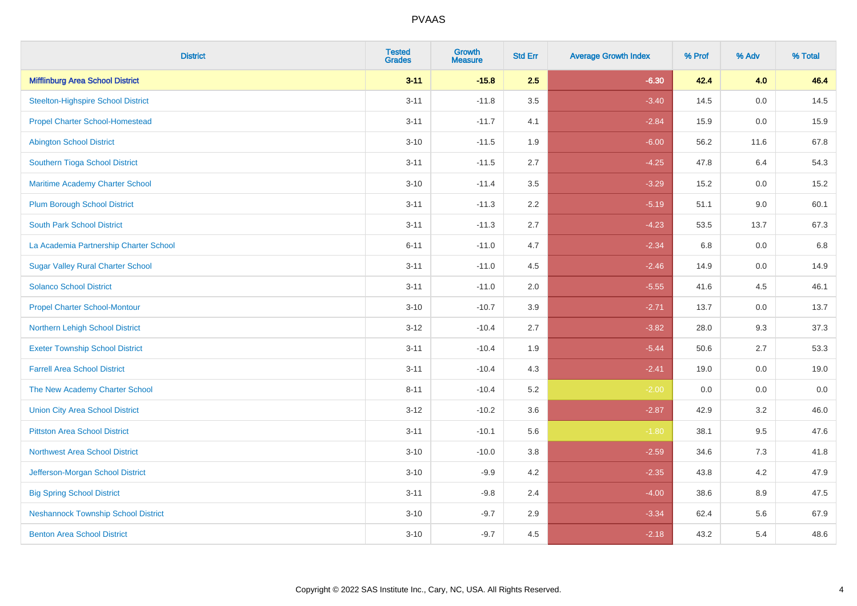| <b>District</b>                            | <b>Tested</b><br><b>Grades</b> | <b>Growth</b><br><b>Measure</b> | <b>Std Err</b> | <b>Average Growth Index</b> | % Prof | % Adv   | % Total |
|--------------------------------------------|--------------------------------|---------------------------------|----------------|-----------------------------|--------|---------|---------|
| <b>Mifflinburg Area School District</b>    | $3 - 11$                       | $-15.8$                         | 2.5            | $-6.30$                     | 42.4   | 4.0     | 46.4    |
| <b>Steelton-Highspire School District</b>  | $3 - 11$                       | $-11.8$                         | 3.5            | $-3.40$                     | 14.5   | 0.0     | 14.5    |
| <b>Propel Charter School-Homestead</b>     | $3 - 11$                       | $-11.7$                         | 4.1            | $-2.84$                     | 15.9   | 0.0     | 15.9    |
| <b>Abington School District</b>            | $3 - 10$                       | $-11.5$                         | 1.9            | $-6.00$                     | 56.2   | 11.6    | 67.8    |
| Southern Tioga School District             | $3 - 11$                       | $-11.5$                         | 2.7            | $-4.25$                     | 47.8   | 6.4     | 54.3    |
| Maritime Academy Charter School            | $3 - 10$                       | $-11.4$                         | 3.5            | $-3.29$                     | 15.2   | 0.0     | 15.2    |
| <b>Plum Borough School District</b>        | $3 - 11$                       | $-11.3$                         | 2.2            | $-5.19$                     | 51.1   | 9.0     | 60.1    |
| <b>South Park School District</b>          | $3 - 11$                       | $-11.3$                         | 2.7            | $-4.23$                     | 53.5   | 13.7    | 67.3    |
| La Academia Partnership Charter School     | $6 - 11$                       | $-11.0$                         | 4.7            | $-2.34$                     | 6.8    | 0.0     | 6.8     |
| <b>Sugar Valley Rural Charter School</b>   | $3 - 11$                       | $-11.0$                         | 4.5            | $-2.46$                     | 14.9   | 0.0     | 14.9    |
| <b>Solanco School District</b>             | $3 - 11$                       | $-11.0$                         | 2.0            | $-5.55$                     | 41.6   | 4.5     | 46.1    |
| <b>Propel Charter School-Montour</b>       | $3 - 10$                       | $-10.7$                         | 3.9            | $-2.71$                     | 13.7   | 0.0     | 13.7    |
| Northern Lehigh School District            | $3 - 12$                       | $-10.4$                         | 2.7            | $-3.82$                     | 28.0   | 9.3     | 37.3    |
| <b>Exeter Township School District</b>     | $3 - 11$                       | $-10.4$                         | 1.9            | $-5.44$                     | 50.6   | 2.7     | 53.3    |
| <b>Farrell Area School District</b>        | $3 - 11$                       | $-10.4$                         | 4.3            | $-2.41$                     | 19.0   | 0.0     | 19.0    |
| The New Academy Charter School             | $8 - 11$                       | $-10.4$                         | 5.2            | $-2.00$                     | 0.0    | $0.0\,$ | $0.0\,$ |
| <b>Union City Area School District</b>     | $3 - 12$                       | $-10.2$                         | 3.6            | $-2.87$                     | 42.9   | 3.2     | 46.0    |
| <b>Pittston Area School District</b>       | $3 - 11$                       | $-10.1$                         | 5.6            | $-1.80$                     | 38.1   | 9.5     | 47.6    |
| <b>Northwest Area School District</b>      | $3 - 10$                       | $-10.0$                         | 3.8            | $-2.59$                     | 34.6   | $7.3$   | 41.8    |
| Jefferson-Morgan School District           | $3 - 10$                       | $-9.9$                          | 4.2            | $-2.35$                     | 43.8   | 4.2     | 47.9    |
| <b>Big Spring School District</b>          | $3 - 11$                       | $-9.8$                          | 2.4            | $-4.00$                     | 38.6   | 8.9     | 47.5    |
| <b>Neshannock Township School District</b> | $3 - 10$                       | $-9.7$                          | 2.9            | $-3.34$                     | 62.4   | 5.6     | 67.9    |
| <b>Benton Area School District</b>         | $3 - 10$                       | $-9.7$                          | 4.5            | $-2.18$                     | 43.2   | 5.4     | 48.6    |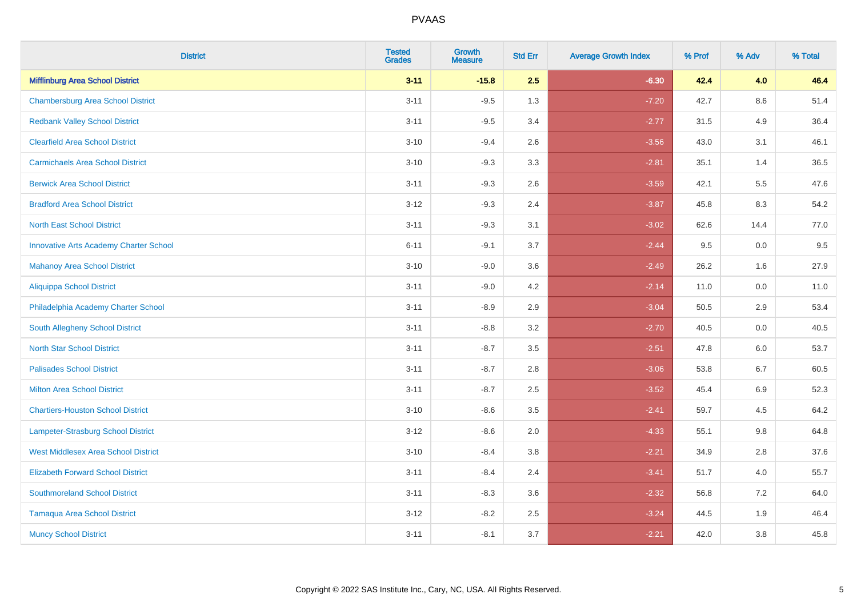| <b>District</b>                               | <b>Tested</b><br><b>Grades</b> | <b>Growth</b><br><b>Measure</b> | <b>Std Err</b> | <b>Average Growth Index</b> | % Prof | % Adv   | % Total |
|-----------------------------------------------|--------------------------------|---------------------------------|----------------|-----------------------------|--------|---------|---------|
| <b>Mifflinburg Area School District</b>       | $3 - 11$                       | $-15.8$                         | 2.5            | $-6.30$                     | 42.4   | 4.0     | 46.4    |
| <b>Chambersburg Area School District</b>      | $3 - 11$                       | $-9.5$                          | 1.3            | $-7.20$                     | 42.7   | $8.6\,$ | 51.4    |
| <b>Redbank Valley School District</b>         | $3 - 11$                       | $-9.5$                          | 3.4            | $-2.77$                     | 31.5   | 4.9     | 36.4    |
| <b>Clearfield Area School District</b>        | $3 - 10$                       | $-9.4$                          | 2.6            | $-3.56$                     | 43.0   | 3.1     | 46.1    |
| <b>Carmichaels Area School District</b>       | $3 - 10$                       | $-9.3$                          | 3.3            | $-2.81$                     | 35.1   | 1.4     | 36.5    |
| <b>Berwick Area School District</b>           | $3 - 11$                       | $-9.3$                          | 2.6            | $-3.59$                     | 42.1   | 5.5     | 47.6    |
| <b>Bradford Area School District</b>          | $3 - 12$                       | $-9.3$                          | 2.4            | $-3.87$                     | 45.8   | 8.3     | 54.2    |
| <b>North East School District</b>             | $3 - 11$                       | $-9.3$                          | 3.1            | $-3.02$                     | 62.6   | 14.4    | 77.0    |
| <b>Innovative Arts Academy Charter School</b> | $6 - 11$                       | $-9.1$                          | 3.7            | $-2.44$                     | 9.5    | 0.0     | 9.5     |
| <b>Mahanoy Area School District</b>           | $3 - 10$                       | $-9.0$                          | 3.6            | $-2.49$                     | 26.2   | 1.6     | 27.9    |
| <b>Aliquippa School District</b>              | $3 - 11$                       | $-9.0$                          | 4.2            | $-2.14$                     | 11.0   | 0.0     | 11.0    |
| Philadelphia Academy Charter School           | $3 - 11$                       | $-8.9$                          | 2.9            | $-3.04$                     | 50.5   | 2.9     | 53.4    |
| South Allegheny School District               | $3 - 11$                       | $-8.8$                          | 3.2            | $-2.70$                     | 40.5   | 0.0     | 40.5    |
| <b>North Star School District</b>             | $3 - 11$                       | $-8.7$                          | 3.5            | $-2.51$                     | 47.8   | 6.0     | 53.7    |
| <b>Palisades School District</b>              | $3 - 11$                       | $-8.7$                          | 2.8            | $-3.06$                     | 53.8   | 6.7     | 60.5    |
| <b>Milton Area School District</b>            | $3 - 11$                       | $-8.7$                          | 2.5            | $-3.52$                     | 45.4   | 6.9     | 52.3    |
| <b>Chartiers-Houston School District</b>      | $3 - 10$                       | $-8.6$                          | 3.5            | $-2.41$                     | 59.7   | 4.5     | 64.2    |
| <b>Lampeter-Strasburg School District</b>     | $3 - 12$                       | $-8.6$                          | 2.0            | $-4.33$                     | 55.1   | 9.8     | 64.8    |
| <b>West Middlesex Area School District</b>    | $3 - 10$                       | $-8.4$                          | 3.8            | $-2.21$                     | 34.9   | 2.8     | 37.6    |
| <b>Elizabeth Forward School District</b>      | $3 - 11$                       | $-8.4$                          | 2.4            | $-3.41$                     | 51.7   | 4.0     | 55.7    |
| <b>Southmoreland School District</b>          | $3 - 11$                       | $-8.3$                          | 3.6            | $-2.32$                     | 56.8   | 7.2     | 64.0    |
| <b>Tamaqua Area School District</b>           | $3 - 12$                       | $-8.2$                          | 2.5            | $-3.24$                     | 44.5   | 1.9     | 46.4    |
| <b>Muncy School District</b>                  | $3 - 11$                       | $-8.1$                          | 3.7            | $-2.21$                     | 42.0   | 3.8     | 45.8    |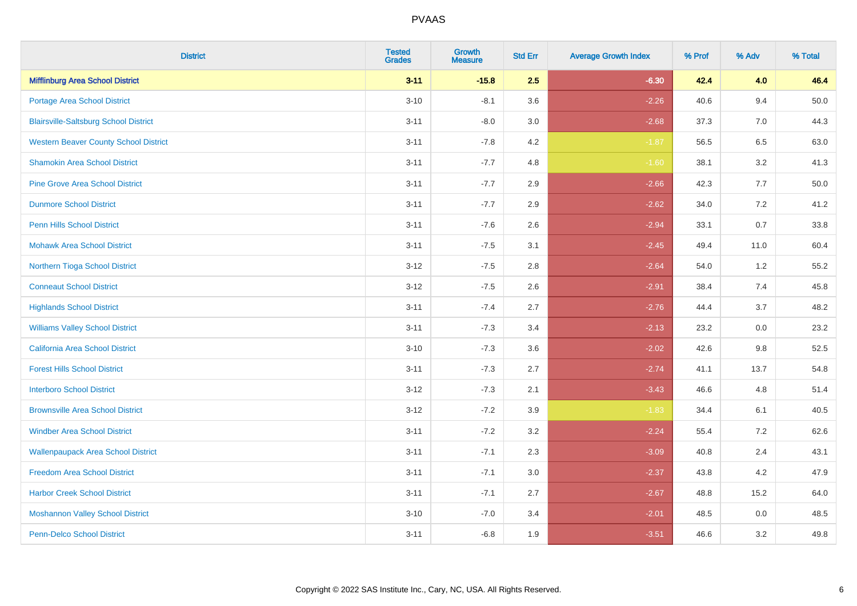| <b>District</b>                              | <b>Tested</b><br><b>Grades</b> | <b>Growth</b><br><b>Measure</b> | <b>Std Err</b> | <b>Average Growth Index</b> | % Prof | % Adv | % Total  |
|----------------------------------------------|--------------------------------|---------------------------------|----------------|-----------------------------|--------|-------|----------|
| <b>Mifflinburg Area School District</b>      | $3 - 11$                       | $-15.8$                         | 2.5            | $-6.30$                     | 42.4   | 4.0   | 46.4     |
| <b>Portage Area School District</b>          | $3 - 10$                       | $-8.1$                          | 3.6            | $-2.26$                     | 40.6   | 9.4   | $50.0\,$ |
| <b>Blairsville-Saltsburg School District</b> | $3 - 11$                       | $-8.0$                          | 3.0            | $-2.68$                     | 37.3   | 7.0   | 44.3     |
| <b>Western Beaver County School District</b> | $3 - 11$                       | $-7.8$                          | 4.2            | $-1.87$                     | 56.5   | 6.5   | 63.0     |
| <b>Shamokin Area School District</b>         | $3 - 11$                       | $-7.7$                          | 4.8            | $-1.60$                     | 38.1   | 3.2   | 41.3     |
| <b>Pine Grove Area School District</b>       | $3 - 11$                       | $-7.7$                          | 2.9            | $-2.66$                     | 42.3   | 7.7   | 50.0     |
| <b>Dunmore School District</b>               | $3 - 11$                       | $-7.7$                          | 2.9            | $-2.62$                     | 34.0   | 7.2   | 41.2     |
| <b>Penn Hills School District</b>            | $3 - 11$                       | $-7.6$                          | 2.6            | $-2.94$                     | 33.1   | 0.7   | 33.8     |
| <b>Mohawk Area School District</b>           | $3 - 11$                       | $-7.5$                          | 3.1            | $-2.45$                     | 49.4   | 11.0  | 60.4     |
| Northern Tioga School District               | $3 - 12$                       | $-7.5$                          | 2.8            | $-2.64$                     | 54.0   | 1.2   | 55.2     |
| <b>Conneaut School District</b>              | $3 - 12$                       | $-7.5$                          | 2.6            | $-2.91$                     | 38.4   | 7.4   | 45.8     |
| <b>Highlands School District</b>             | $3 - 11$                       | $-7.4$                          | 2.7            | $-2.76$                     | 44.4   | 3.7   | 48.2     |
| <b>Williams Valley School District</b>       | $3 - 11$                       | $-7.3$                          | 3.4            | $-2.13$                     | 23.2   | 0.0   | 23.2     |
| <b>California Area School District</b>       | $3 - 10$                       | $-7.3$                          | 3.6            | $-2.02$                     | 42.6   | 9.8   | 52.5     |
| <b>Forest Hills School District</b>          | $3 - 11$                       | $-7.3$                          | 2.7            | $-2.74$                     | 41.1   | 13.7  | 54.8     |
| <b>Interboro School District</b>             | $3 - 12$                       | $-7.3$                          | 2.1            | $-3.43$                     | 46.6   | 4.8   | 51.4     |
| <b>Brownsville Area School District</b>      | $3 - 12$                       | $-7.2$                          | 3.9            | $-1.83$                     | 34.4   | 6.1   | 40.5     |
| <b>Windber Area School District</b>          | $3 - 11$                       | $-7.2$                          | 3.2            | $-2.24$                     | 55.4   | 7.2   | 62.6     |
| <b>Wallenpaupack Area School District</b>    | $3 - 11$                       | $-7.1$                          | 2.3            | $-3.09$                     | 40.8   | 2.4   | 43.1     |
| <b>Freedom Area School District</b>          | $3 - 11$                       | $-7.1$                          | 3.0            | $-2.37$                     | 43.8   | 4.2   | 47.9     |
| <b>Harbor Creek School District</b>          | $3 - 11$                       | $-7.1$                          | 2.7            | $-2.67$                     | 48.8   | 15.2  | 64.0     |
| <b>Moshannon Valley School District</b>      | $3 - 10$                       | $-7.0$                          | 3.4            | $-2.01$                     | 48.5   | 0.0   | 48.5     |
| <b>Penn-Delco School District</b>            | $3 - 11$                       | $-6.8$                          | 1.9            | $-3.51$                     | 46.6   | 3.2   | 49.8     |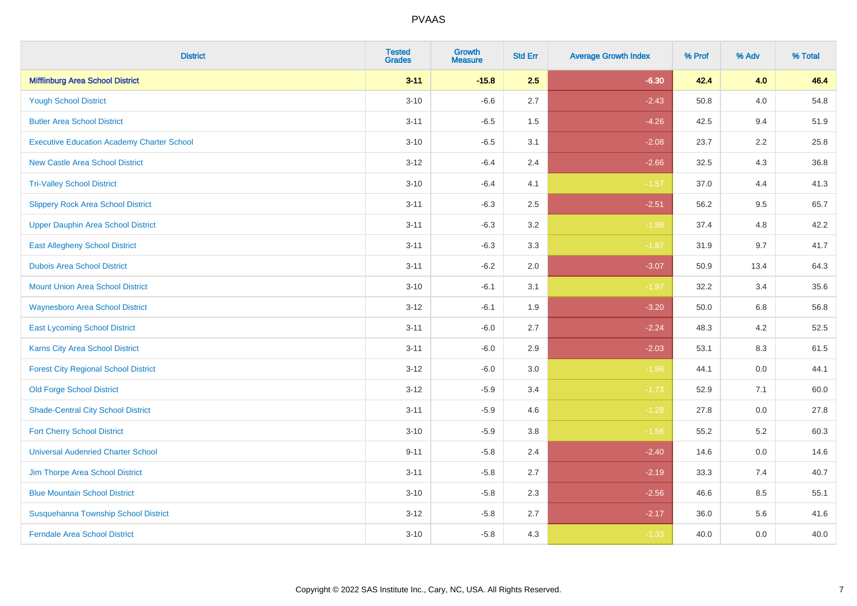| <b>District</b>                                   | <b>Tested</b><br><b>Grades</b> | <b>Growth</b><br><b>Measure</b> | <b>Std Err</b> | <b>Average Growth Index</b> | % Prof | % Adv   | % Total |
|---------------------------------------------------|--------------------------------|---------------------------------|----------------|-----------------------------|--------|---------|---------|
| <b>Mifflinburg Area School District</b>           | $3 - 11$                       | $-15.8$                         | 2.5            | $-6.30$                     | 42.4   | 4.0     | 46.4    |
| <b>Yough School District</b>                      | $3 - 10$                       | $-6.6$                          | 2.7            | $-2.43$                     | 50.8   | 4.0     | 54.8    |
| <b>Butler Area School District</b>                | $3 - 11$                       | $-6.5$                          | 1.5            | $-4.26$                     | 42.5   | 9.4     | 51.9    |
| <b>Executive Education Academy Charter School</b> | $3 - 10$                       | $-6.5$                          | 3.1            | $-2.08$                     | 23.7   | 2.2     | 25.8    |
| <b>New Castle Area School District</b>            | $3-12$                         | $-6.4$                          | 2.4            | $-2.66$                     | 32.5   | 4.3     | 36.8    |
| <b>Tri-Valley School District</b>                 | $3 - 10$                       | $-6.4$                          | 4.1            | $-1.57$                     | 37.0   | 4.4     | 41.3    |
| <b>Slippery Rock Area School District</b>         | $3 - 11$                       | $-6.3$                          | 2.5            | $-2.51$                     | 56.2   | 9.5     | 65.7    |
| <b>Upper Dauphin Area School District</b>         | $3 - 11$                       | $-6.3$                          | 3.2            | $-1.98$                     | 37.4   | 4.8     | 42.2    |
| <b>East Allegheny School District</b>             | $3 - 11$                       | $-6.3$                          | 3.3            | $-1.87$                     | 31.9   | 9.7     | 41.7    |
| <b>Dubois Area School District</b>                | $3 - 11$                       | $-6.2$                          | 2.0            | $-3.07$                     | 50.9   | 13.4    | 64.3    |
| <b>Mount Union Area School District</b>           | $3 - 10$                       | $-6.1$                          | 3.1            | $-1.97$                     | 32.2   | 3.4     | 35.6    |
| <b>Waynesboro Area School District</b>            | $3 - 12$                       | $-6.1$                          | 1.9            | $-3.20$                     | 50.0   | 6.8     | 56.8    |
| <b>East Lycoming School District</b>              | $3 - 11$                       | $-6.0$                          | 2.7            | $-2.24$                     | 48.3   | 4.2     | 52.5    |
| Karns City Area School District                   | $3 - 11$                       | $-6.0$                          | 2.9            | $-2.03$                     | 53.1   | 8.3     | 61.5    |
| <b>Forest City Regional School District</b>       | $3-12$                         | $-6.0$                          | $3.0\,$        | $-1.96$                     | 44.1   | $0.0\,$ | 44.1    |
| <b>Old Forge School District</b>                  | $3 - 12$                       | $-5.9$                          | 3.4            | $-1.73$                     | 52.9   | 7.1     | 60.0    |
| <b>Shade-Central City School District</b>         | $3 - 11$                       | $-5.9$                          | 4.6            | $-1.28$                     | 27.8   | 0.0     | 27.8    |
| <b>Fort Cherry School District</b>                | $3 - 10$                       | $-5.9$                          | 3.8            | $-1.56$                     | 55.2   | 5.2     | 60.3    |
| <b>Universal Audenried Charter School</b>         | $9 - 11$                       | $-5.8$                          | 2.4            | $-2.40$                     | 14.6   | $0.0\,$ | 14.6    |
| Jim Thorpe Area School District                   | $3 - 11$                       | $-5.8$                          | 2.7            | $-2.19$                     | 33.3   | 7.4     | 40.7    |
| <b>Blue Mountain School District</b>              | $3 - 10$                       | $-5.8$                          | 2.3            | $-2.56$                     | 46.6   | 8.5     | 55.1    |
| Susquehanna Township School District              | $3-12$                         | $-5.8$                          | 2.7            | $-2.17$                     | 36.0   | 5.6     | 41.6    |
| <b>Ferndale Area School District</b>              | $3 - 10$                       | $-5.8$                          | 4.3            | $-1.33$                     | 40.0   | 0.0     | 40.0    |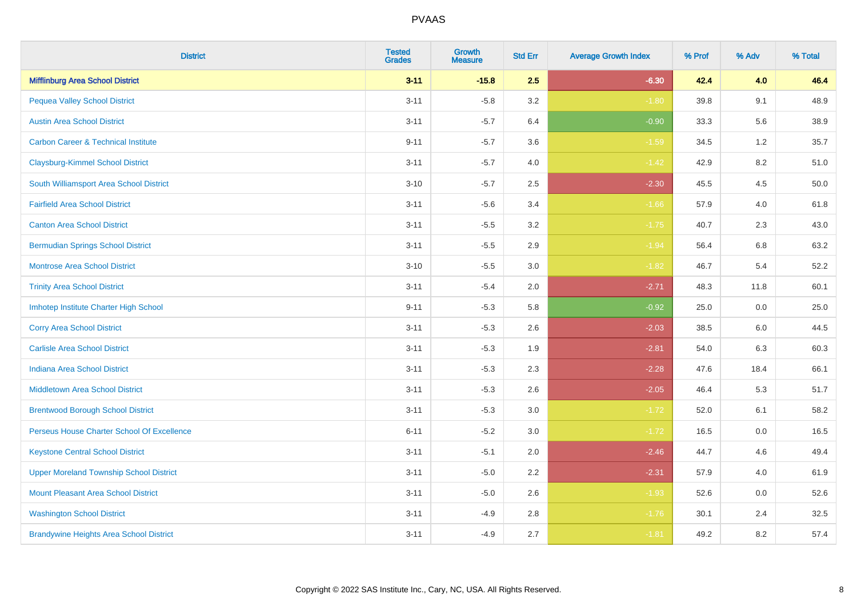| <b>District</b>                                | <b>Tested</b><br><b>Grades</b> | Growth<br><b>Measure</b> | <b>Std Err</b> | <b>Average Growth Index</b> | % Prof | % Adv   | % Total |
|------------------------------------------------|--------------------------------|--------------------------|----------------|-----------------------------|--------|---------|---------|
| <b>Mifflinburg Area School District</b>        | $3 - 11$                       | $-15.8$                  | 2.5            | $-6.30$                     | 42.4   | 4.0     | 46.4    |
| <b>Pequea Valley School District</b>           | $3 - 11$                       | $-5.8$                   | 3.2            | $-1.80$                     | 39.8   | 9.1     | 48.9    |
| <b>Austin Area School District</b>             | $3 - 11$                       | $-5.7$                   | 6.4            | $-0.90$                     | 33.3   | 5.6     | 38.9    |
| <b>Carbon Career &amp; Technical Institute</b> | $9 - 11$                       | $-5.7$                   | 3.6            | $-1.59$                     | 34.5   | $1.2\,$ | 35.7    |
| <b>Claysburg-Kimmel School District</b>        | $3 - 11$                       | $-5.7$                   | 4.0            | $-1.42$                     | 42.9   | 8.2     | 51.0    |
| South Williamsport Area School District        | $3 - 10$                       | $-5.7$                   | 2.5            | $-2.30$                     | 45.5   | 4.5     | 50.0    |
| <b>Fairfield Area School District</b>          | $3 - 11$                       | $-5.6$                   | 3.4            | $-1.66$                     | 57.9   | 4.0     | 61.8    |
| <b>Canton Area School District</b>             | $3 - 11$                       | $-5.5$                   | 3.2            | $-1.75$                     | 40.7   | 2.3     | 43.0    |
| <b>Bermudian Springs School District</b>       | $3 - 11$                       | $-5.5$                   | 2.9            | $-1.94$                     | 56.4   | 6.8     | 63.2    |
| <b>Montrose Area School District</b>           | $3 - 10$                       | $-5.5$                   | 3.0            | $-1.82$                     | 46.7   | 5.4     | 52.2    |
| <b>Trinity Area School District</b>            | $3 - 11$                       | $-5.4$                   | 2.0            | $-2.71$                     | 48.3   | 11.8    | 60.1    |
| Imhotep Institute Charter High School          | $9 - 11$                       | $-5.3$                   | 5.8            | $-0.92$                     | 25.0   | 0.0     | 25.0    |
| <b>Corry Area School District</b>              | $3 - 11$                       | $-5.3$                   | 2.6            | $-2.03$                     | 38.5   | 6.0     | 44.5    |
| <b>Carlisle Area School District</b>           | $3 - 11$                       | $-5.3$                   | 1.9            | $-2.81$                     | 54.0   | 6.3     | 60.3    |
| <b>Indiana Area School District</b>            | $3 - 11$                       | $-5.3$                   | 2.3            | $-2.28$                     | 47.6   | 18.4    | 66.1    |
| <b>Middletown Area School District</b>         | $3 - 11$                       | $-5.3$                   | 2.6            | $-2.05$                     | 46.4   | 5.3     | 51.7    |
| <b>Brentwood Borough School District</b>       | $3 - 11$                       | $-5.3$                   | 3.0            | $-1.72$                     | 52.0   | 6.1     | 58.2    |
| Perseus House Charter School Of Excellence     | $6 - 11$                       | $-5.2$                   | 3.0            | $-1.72$                     | 16.5   | 0.0     | 16.5    |
| <b>Keystone Central School District</b>        | $3 - 11$                       | $-5.1$                   | 2.0            | $-2.46$                     | 44.7   | 4.6     | 49.4    |
| <b>Upper Moreland Township School District</b> | $3 - 11$                       | $-5.0$                   | 2.2            | $-2.31$                     | 57.9   | 4.0     | 61.9    |
| <b>Mount Pleasant Area School District</b>     | $3 - 11$                       | $-5.0$                   | 2.6            | $-1.93$                     | 52.6   | 0.0     | 52.6    |
| <b>Washington School District</b>              | $3 - 11$                       | $-4.9$                   | 2.8            | $-1.76$                     | 30.1   | 2.4     | 32.5    |
| <b>Brandywine Heights Area School District</b> | $3 - 11$                       | $-4.9$                   | 2.7            | $-1.81$                     | 49.2   | 8.2     | 57.4    |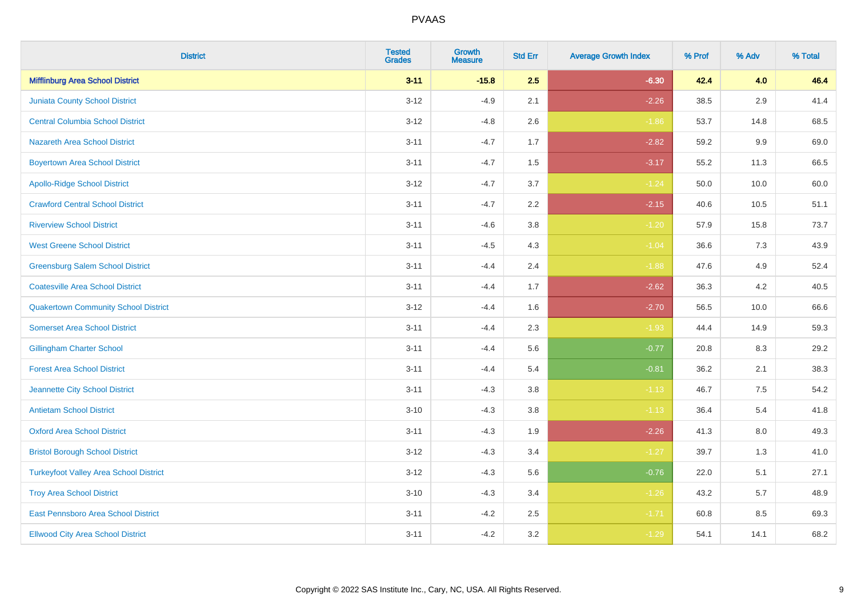| <b>District</b>                               | <b>Tested</b><br><b>Grades</b> | Growth<br><b>Measure</b> | <b>Std Err</b> | <b>Average Growth Index</b> | % Prof | % Adv   | % Total |
|-----------------------------------------------|--------------------------------|--------------------------|----------------|-----------------------------|--------|---------|---------|
| <b>Mifflinburg Area School District</b>       | $3 - 11$                       | $-15.8$                  | 2.5            | $-6.30$                     | 42.4   | 4.0     | 46.4    |
| <b>Juniata County School District</b>         | $3 - 12$                       | $-4.9$                   | 2.1            | $-2.26$                     | 38.5   | 2.9     | 41.4    |
| <b>Central Columbia School District</b>       | $3-12$                         | $-4.8$                   | 2.6            | $-1.86$                     | 53.7   | 14.8    | 68.5    |
| Nazareth Area School District                 | $3 - 11$                       | $-4.7$                   | 1.7            | $-2.82$                     | 59.2   | $9.9\,$ | 69.0    |
| <b>Boyertown Area School District</b>         | $3 - 11$                       | $-4.7$                   | 1.5            | $-3.17$                     | 55.2   | 11.3    | 66.5    |
| <b>Apollo-Ridge School District</b>           | $3-12$                         | $-4.7$                   | 3.7            | $-1.24$                     | 50.0   | 10.0    | 60.0    |
| <b>Crawford Central School District</b>       | $3 - 11$                       | $-4.7$                   | 2.2            | $-2.15$                     | 40.6   | 10.5    | 51.1    |
| <b>Riverview School District</b>              | $3 - 11$                       | $-4.6$                   | 3.8            | $-1.20$                     | 57.9   | 15.8    | 73.7    |
| <b>West Greene School District</b>            | $3 - 11$                       | $-4.5$                   | 4.3            | $-1.04$                     | 36.6   | 7.3     | 43.9    |
| <b>Greensburg Salem School District</b>       | $3 - 11$                       | $-4.4$                   | 2.4            | $-1.88$                     | 47.6   | 4.9     | 52.4    |
| <b>Coatesville Area School District</b>       | $3 - 11$                       | $-4.4$                   | 1.7            | $-2.62$                     | 36.3   | 4.2     | 40.5    |
| <b>Quakertown Community School District</b>   | $3 - 12$                       | $-4.4$                   | 1.6            | $-2.70$                     | 56.5   | 10.0    | 66.6    |
| <b>Somerset Area School District</b>          | $3 - 11$                       | $-4.4$                   | 2.3            | $-1.93$                     | 44.4   | 14.9    | 59.3    |
| <b>Gillingham Charter School</b>              | $3 - 11$                       | $-4.4$                   | 5.6            | $-0.77$                     | 20.8   | 8.3     | 29.2    |
| <b>Forest Area School District</b>            | $3 - 11$                       | $-4.4$                   | 5.4            | $-0.81$                     | 36.2   | 2.1     | 38.3    |
| Jeannette City School District                | $3 - 11$                       | $-4.3$                   | 3.8            | $-1.13$                     | 46.7   | 7.5     | 54.2    |
| <b>Antietam School District</b>               | $3 - 10$                       | $-4.3$                   | 3.8            | $-1.13$                     | 36.4   | 5.4     | 41.8    |
| <b>Oxford Area School District</b>            | $3 - 11$                       | $-4.3$                   | 1.9            | $-2.26$                     | 41.3   | 8.0     | 49.3    |
| <b>Bristol Borough School District</b>        | $3 - 12$                       | $-4.3$                   | 3.4            | $-1.27$                     | 39.7   | 1.3     | 41.0    |
| <b>Turkeyfoot Valley Area School District</b> | $3-12$                         | $-4.3$                   | 5.6            | $-0.76$                     | 22.0   | 5.1     | 27.1    |
| <b>Troy Area School District</b>              | $3 - 10$                       | $-4.3$                   | 3.4            | $-1.26$                     | 43.2   | 5.7     | 48.9    |
| East Pennsboro Area School District           | $3 - 11$                       | $-4.2$                   | 2.5            | $-1.71$                     | 60.8   | 8.5     | 69.3    |
| <b>Ellwood City Area School District</b>      | $3 - 11$                       | $-4.2$                   | 3.2            | $-1.29$                     | 54.1   | 14.1    | 68.2    |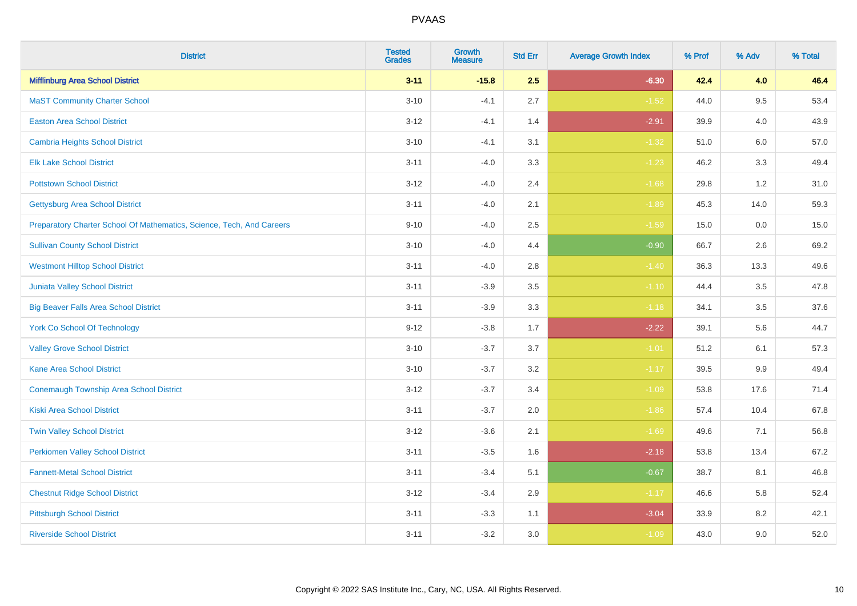| <b>District</b>                                                       | <b>Tested</b><br><b>Grades</b> | <b>Growth</b><br><b>Measure</b> | <b>Std Err</b> | <b>Average Growth Index</b> | % Prof | % Adv   | % Total |
|-----------------------------------------------------------------------|--------------------------------|---------------------------------|----------------|-----------------------------|--------|---------|---------|
| <b>Mifflinburg Area School District</b>                               | $3 - 11$                       | $-15.8$                         | 2.5            | $-6.30$                     | 42.4   | 4.0     | 46.4    |
| <b>MaST Community Charter School</b>                                  | $3 - 10$                       | $-4.1$                          | 2.7            | $-1.52$                     | 44.0   | 9.5     | 53.4    |
| <b>Easton Area School District</b>                                    | $3 - 12$                       | $-4.1$                          | 1.4            | $-2.91$                     | 39.9   | 4.0     | 43.9    |
| <b>Cambria Heights School District</b>                                | $3 - 10$                       | $-4.1$                          | 3.1            | $-1.32$                     | 51.0   | $6.0\,$ | 57.0    |
| <b>Elk Lake School District</b>                                       | $3 - 11$                       | $-4.0$                          | 3.3            | $-1.23$                     | 46.2   | 3.3     | 49.4    |
| <b>Pottstown School District</b>                                      | $3 - 12$                       | $-4.0$                          | 2.4            | $-1.68$                     | 29.8   | 1.2     | 31.0    |
| <b>Gettysburg Area School District</b>                                | $3 - 11$                       | $-4.0$                          | 2.1            | $-1.89$                     | 45.3   | 14.0    | 59.3    |
| Preparatory Charter School Of Mathematics, Science, Tech, And Careers | $9 - 10$                       | $-4.0$                          | 2.5            | $-1.59$                     | 15.0   | 0.0     | 15.0    |
| <b>Sullivan County School District</b>                                | $3 - 10$                       | $-4.0$                          | 4.4            | $-0.90$                     | 66.7   | 2.6     | 69.2    |
| <b>Westmont Hilltop School District</b>                               | $3 - 11$                       | $-4.0$                          | 2.8            | $-1.40$                     | 36.3   | 13.3    | 49.6    |
| Juniata Valley School District                                        | $3 - 11$                       | $-3.9$                          | 3.5            | $-1.10$                     | 44.4   | 3.5     | 47.8    |
| <b>Big Beaver Falls Area School District</b>                          | $3 - 11$                       | $-3.9$                          | 3.3            | $-1.18$                     | 34.1   | 3.5     | 37.6    |
| <b>York Co School Of Technology</b>                                   | $9 - 12$                       | $-3.8$                          | 1.7            | $-2.22$                     | 39.1   | 5.6     | 44.7    |
| <b>Valley Grove School District</b>                                   | $3 - 10$                       | $-3.7$                          | 3.7            | $-1.01$                     | 51.2   | 6.1     | 57.3    |
| <b>Kane Area School District</b>                                      | $3 - 10$                       | $-3.7$                          | 3.2            | $-1.17$                     | 39.5   | 9.9     | 49.4    |
| <b>Conemaugh Township Area School District</b>                        | $3 - 12$                       | $-3.7$                          | 3.4            | $-1.09$                     | 53.8   | 17.6    | 71.4    |
| <b>Kiski Area School District</b>                                     | $3 - 11$                       | $-3.7$                          | 2.0            | $-1.86$                     | 57.4   | 10.4    | 67.8    |
| <b>Twin Valley School District</b>                                    | $3 - 12$                       | $-3.6$                          | 2.1            | $-1.69$                     | 49.6   | 7.1     | 56.8    |
| <b>Perkiomen Valley School District</b>                               | $3 - 11$                       | $-3.5$                          | 1.6            | $-2.18$                     | 53.8   | 13.4    | 67.2    |
| <b>Fannett-Metal School District</b>                                  | $3 - 11$                       | $-3.4$                          | 5.1            | $-0.67$                     | 38.7   | 8.1     | 46.8    |
| <b>Chestnut Ridge School District</b>                                 | $3 - 12$                       | $-3.4$                          | 2.9            | $-1.17$                     | 46.6   | 5.8     | 52.4    |
| <b>Pittsburgh School District</b>                                     | $3 - 11$                       | $-3.3$                          | 1.1            | $-3.04$                     | 33.9   | 8.2     | 42.1    |
| <b>Riverside School District</b>                                      | $3 - 11$                       | $-3.2$                          | 3.0            | $-1.09$                     | 43.0   | 9.0     | 52.0    |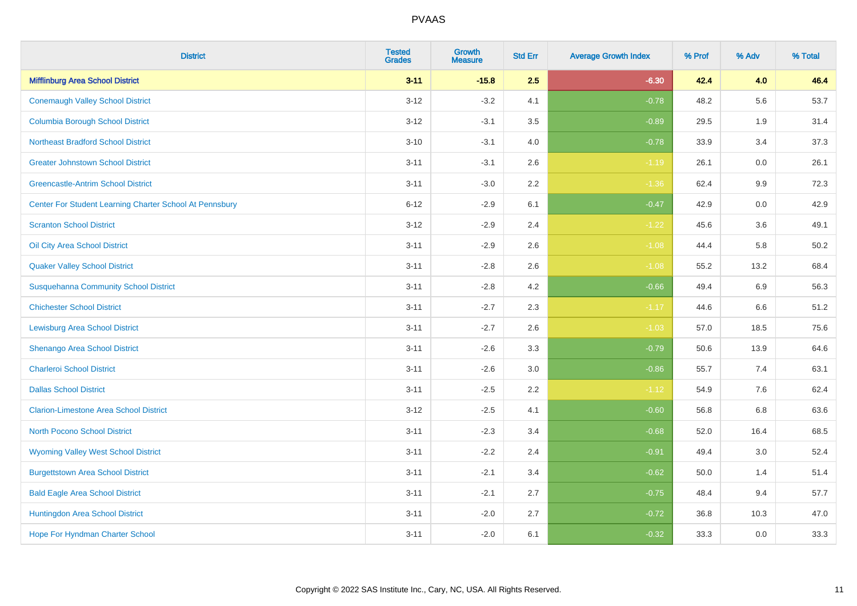| <b>District</b>                                         | <b>Tested</b><br><b>Grades</b> | Growth<br><b>Measure</b> | <b>Std Err</b> | <b>Average Growth Index</b> | % Prof | % Adv   | % Total |
|---------------------------------------------------------|--------------------------------|--------------------------|----------------|-----------------------------|--------|---------|---------|
| <b>Mifflinburg Area School District</b>                 | $3 - 11$                       | $-15.8$                  | 2.5            | $-6.30$                     | 42.4   | 4.0     | 46.4    |
| <b>Conemaugh Valley School District</b>                 | $3 - 12$                       | $-3.2$                   | 4.1            | $-0.78$                     | 48.2   | 5.6     | 53.7    |
| <b>Columbia Borough School District</b>                 | $3-12$                         | $-3.1$                   | 3.5            | $-0.89$                     | 29.5   | 1.9     | 31.4    |
| <b>Northeast Bradford School District</b>               | $3 - 10$                       | $-3.1$                   | 4.0            | $-0.78$                     | 33.9   | 3.4     | 37.3    |
| <b>Greater Johnstown School District</b>                | $3 - 11$                       | $-3.1$                   | 2.6            | $-1.19$                     | 26.1   | 0.0     | 26.1    |
| <b>Greencastle-Antrim School District</b>               | $3 - 11$                       | $-3.0$                   | 2.2            | $-1.36$                     | 62.4   | $9.9\,$ | 72.3    |
| Center For Student Learning Charter School At Pennsbury | $6 - 12$                       | $-2.9$                   | 6.1            | $-0.47$                     | 42.9   | $0.0\,$ | 42.9    |
| <b>Scranton School District</b>                         | $3 - 12$                       | $-2.9$                   | 2.4            | $-1.22$                     | 45.6   | 3.6     | 49.1    |
| Oil City Area School District                           | $3 - 11$                       | $-2.9$                   | 2.6            | $-1.08$                     | 44.4   | 5.8     | 50.2    |
| <b>Quaker Valley School District</b>                    | $3 - 11$                       | $-2.8$                   | $2.6\,$        | $-1.08$                     | 55.2   | 13.2    | 68.4    |
| <b>Susquehanna Community School District</b>            | $3 - 11$                       | $-2.8$                   | 4.2            | $-0.66$                     | 49.4   | 6.9     | 56.3    |
| <b>Chichester School District</b>                       | $3 - 11$                       | $-2.7$                   | 2.3            | $-1.17$                     | 44.6   | 6.6     | 51.2    |
| <b>Lewisburg Area School District</b>                   | $3 - 11$                       | $-2.7$                   | 2.6            | $-1.03$                     | 57.0   | 18.5    | 75.6    |
| Shenango Area School District                           | $3 - 11$                       | $-2.6$                   | 3.3            | $-0.79$                     | 50.6   | 13.9    | 64.6    |
| <b>Charleroi School District</b>                        | $3 - 11$                       | $-2.6$                   | 3.0            | $-0.86$                     | 55.7   | 7.4     | 63.1    |
| <b>Dallas School District</b>                           | $3 - 11$                       | $-2.5$                   | 2.2            | $-1.12$                     | 54.9   | 7.6     | 62.4    |
| <b>Clarion-Limestone Area School District</b>           | $3 - 12$                       | $-2.5$                   | 4.1            | $-0.60$                     | 56.8   | 6.8     | 63.6    |
| North Pocono School District                            | $3 - 11$                       | $-2.3$                   | 3.4            | $-0.68$                     | 52.0   | 16.4    | 68.5    |
| <b>Wyoming Valley West School District</b>              | $3 - 11$                       | $-2.2$                   | 2.4            | $-0.91$                     | 49.4   | 3.0     | 52.4    |
| <b>Burgettstown Area School District</b>                | $3 - 11$                       | $-2.1$                   | 3.4            | $-0.62$                     | 50.0   | 1.4     | 51.4    |
| <b>Bald Eagle Area School District</b>                  | $3 - 11$                       | $-2.1$                   | 2.7            | $-0.75$                     | 48.4   | 9.4     | 57.7    |
| Huntingdon Area School District                         | $3 - 11$                       | $-2.0$                   | 2.7            | $-0.72$                     | 36.8   | 10.3    | 47.0    |
| <b>Hope For Hyndman Charter School</b>                  | $3 - 11$                       | $-2.0$                   | 6.1            | $-0.32$                     | 33.3   | 0.0     | 33.3    |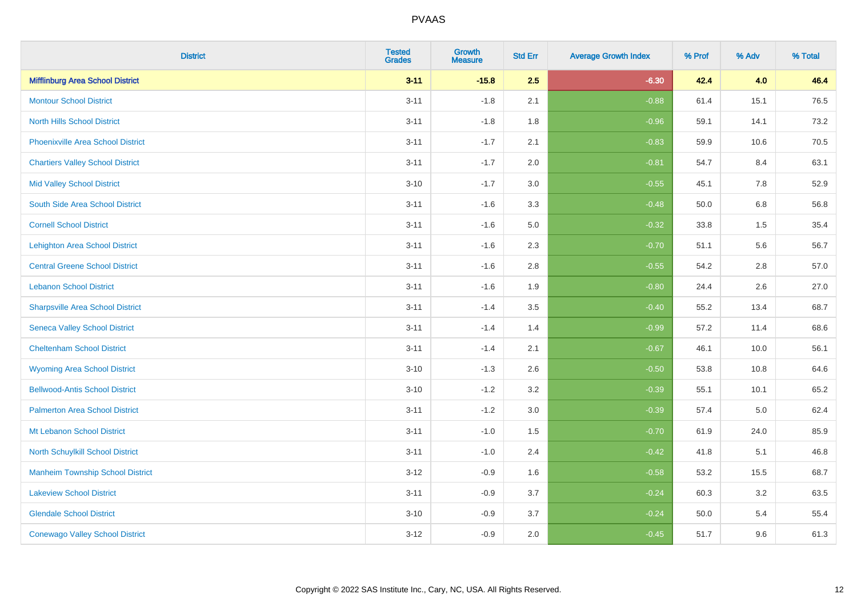| <b>District</b>                          | <b>Tested</b><br><b>Grades</b> | <b>Growth</b><br><b>Measure</b> | <b>Std Err</b> | <b>Average Growth Index</b> | % Prof | % Adv | % Total |
|------------------------------------------|--------------------------------|---------------------------------|----------------|-----------------------------|--------|-------|---------|
| <b>Mifflinburg Area School District</b>  | $3 - 11$                       | $-15.8$                         | 2.5            | $-6.30$                     | 42.4   | 4.0   | 46.4    |
| <b>Montour School District</b>           | $3 - 11$                       | $-1.8$                          | 2.1            | $-0.88$                     | 61.4   | 15.1  | 76.5    |
| <b>North Hills School District</b>       | $3 - 11$                       | $-1.8$                          | 1.8            | $-0.96$                     | 59.1   | 14.1  | 73.2    |
| <b>Phoenixville Area School District</b> | $3 - 11$                       | $-1.7$                          | 2.1            | $-0.83$                     | 59.9   | 10.6  | 70.5    |
| <b>Chartiers Valley School District</b>  | $3 - 11$                       | $-1.7$                          | 2.0            | $-0.81$                     | 54.7   | 8.4   | 63.1    |
| <b>Mid Valley School District</b>        | $3 - 10$                       | $-1.7$                          | 3.0            | $-0.55$                     | 45.1   | 7.8   | 52.9    |
| South Side Area School District          | $3 - 11$                       | $-1.6$                          | 3.3            | $-0.48$                     | 50.0   | 6.8   | 56.8    |
| <b>Cornell School District</b>           | $3 - 11$                       | $-1.6$                          | 5.0            | $-0.32$                     | 33.8   | 1.5   | 35.4    |
| <b>Lehighton Area School District</b>    | $3 - 11$                       | $-1.6$                          | 2.3            | $-0.70$                     | 51.1   | 5.6   | 56.7    |
| <b>Central Greene School District</b>    | $3 - 11$                       | $-1.6$                          | 2.8            | $-0.55$                     | 54.2   | 2.8   | 57.0    |
| <b>Lebanon School District</b>           | $3 - 11$                       | $-1.6$                          | 1.9            | $-0.80$                     | 24.4   | 2.6   | 27.0    |
| <b>Sharpsville Area School District</b>  | $3 - 11$                       | $-1.4$                          | 3.5            | $-0.40$                     | 55.2   | 13.4  | 68.7    |
| <b>Seneca Valley School District</b>     | $3 - 11$                       | $-1.4$                          | 1.4            | $-0.99$                     | 57.2   | 11.4  | 68.6    |
| <b>Cheltenham School District</b>        | $3 - 11$                       | $-1.4$                          | 2.1            | $-0.67$                     | 46.1   | 10.0  | 56.1    |
| <b>Wyoming Area School District</b>      | $3 - 10$                       | $-1.3$                          | 2.6            | $-0.50$                     | 53.8   | 10.8  | 64.6    |
| <b>Bellwood-Antis School District</b>    | $3 - 10$                       | $-1.2$                          | 3.2            | $-0.39$                     | 55.1   | 10.1  | 65.2    |
| <b>Palmerton Area School District</b>    | $3 - 11$                       | $-1.2$                          | 3.0            | $-0.39$                     | 57.4   | 5.0   | 62.4    |
| Mt Lebanon School District               | $3 - 11$                       | $-1.0$                          | 1.5            | $-0.70$                     | 61.9   | 24.0  | 85.9    |
| <b>North Schuylkill School District</b>  | $3 - 11$                       | $-1.0$                          | 2.4            | $-0.42$                     | 41.8   | 5.1   | 46.8    |
| <b>Manheim Township School District</b>  | $3 - 12$                       | $-0.9$                          | 1.6            | $-0.58$                     | 53.2   | 15.5  | 68.7    |
| <b>Lakeview School District</b>          | $3 - 11$                       | $-0.9$                          | 3.7            | $-0.24$                     | 60.3   | 3.2   | 63.5    |
| <b>Glendale School District</b>          | $3 - 10$                       | $-0.9$                          | 3.7            | $-0.24$                     | 50.0   | 5.4   | 55.4    |
| <b>Conewago Valley School District</b>   | $3 - 12$                       | $-0.9$                          | 2.0            | $-0.45$                     | 51.7   | 9.6   | 61.3    |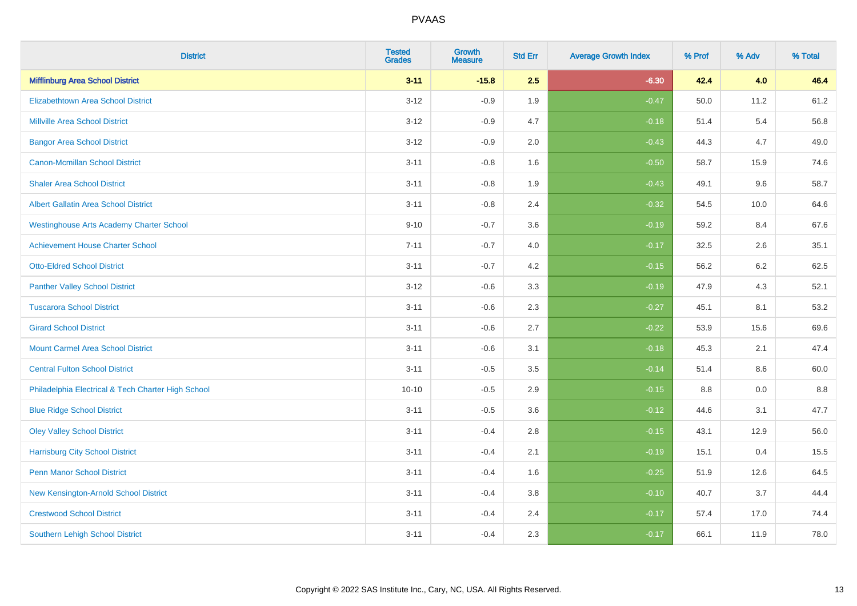| <b>District</b>                                    | <b>Tested</b><br><b>Grades</b> | <b>Growth</b><br><b>Measure</b> | <b>Std Err</b> | <b>Average Growth Index</b> | % Prof | % Adv | % Total |
|----------------------------------------------------|--------------------------------|---------------------------------|----------------|-----------------------------|--------|-------|---------|
| <b>Mifflinburg Area School District</b>            | $3 - 11$                       | $-15.8$                         | 2.5            | $-6.30$                     | 42.4   | 4.0   | 46.4    |
| <b>Elizabethtown Area School District</b>          | $3 - 12$                       | $-0.9$                          | 1.9            | $-0.47$                     | 50.0   | 11.2  | 61.2    |
| <b>Millville Area School District</b>              | $3 - 12$                       | $-0.9$                          | 4.7            | $-0.18$                     | 51.4   | 5.4   | 56.8    |
| <b>Bangor Area School District</b>                 | $3 - 12$                       | $-0.9$                          | 2.0            | $-0.43$                     | 44.3   | 4.7   | 49.0    |
| <b>Canon-Mcmillan School District</b>              | $3 - 11$                       | $-0.8$                          | 1.6            | $-0.50$                     | 58.7   | 15.9  | 74.6    |
| <b>Shaler Area School District</b>                 | $3 - 11$                       | $-0.8$                          | 1.9            | $-0.43$                     | 49.1   | 9.6   | 58.7    |
| <b>Albert Gallatin Area School District</b>        | $3 - 11$                       | $-0.8$                          | 2.4            | $-0.32$                     | 54.5   | 10.0  | 64.6    |
| <b>Westinghouse Arts Academy Charter School</b>    | $9 - 10$                       | $-0.7$                          | 3.6            | $-0.19$                     | 59.2   | 8.4   | 67.6    |
| <b>Achievement House Charter School</b>            | $7 - 11$                       | $-0.7$                          | 4.0            | $-0.17$                     | 32.5   | 2.6   | 35.1    |
| <b>Otto-Eldred School District</b>                 | $3 - 11$                       | $-0.7$                          | 4.2            | $-0.15$                     | 56.2   | 6.2   | 62.5    |
| <b>Panther Valley School District</b>              | $3-12$                         | $-0.6$                          | 3.3            | $-0.19$                     | 47.9   | 4.3   | 52.1    |
| <b>Tuscarora School District</b>                   | $3 - 11$                       | $-0.6$                          | 2.3            | $-0.27$                     | 45.1   | 8.1   | 53.2    |
| <b>Girard School District</b>                      | $3 - 11$                       | $-0.6$                          | 2.7            | $-0.22$                     | 53.9   | 15.6  | 69.6    |
| <b>Mount Carmel Area School District</b>           | $3 - 11$                       | $-0.6$                          | 3.1            | $-0.18$                     | 45.3   | 2.1   | 47.4    |
| <b>Central Fulton School District</b>              | $3 - 11$                       | $-0.5$                          | 3.5            | $-0.14$                     | 51.4   | 8.6   | 60.0    |
| Philadelphia Electrical & Tech Charter High School | $10 - 10$                      | $-0.5$                          | 2.9            | $-0.15$                     | 8.8    | 0.0   | 8.8     |
| <b>Blue Ridge School District</b>                  | $3 - 11$                       | $-0.5$                          | 3.6            | $-0.12$                     | 44.6   | 3.1   | 47.7    |
| <b>Oley Valley School District</b>                 | $3 - 11$                       | $-0.4$                          | 2.8            | $-0.15$                     | 43.1   | 12.9  | 56.0    |
| <b>Harrisburg City School District</b>             | $3 - 11$                       | $-0.4$                          | 2.1            | $-0.19$                     | 15.1   | 0.4   | 15.5    |
| <b>Penn Manor School District</b>                  | $3 - 11$                       | $-0.4$                          | 1.6            | $-0.25$                     | 51.9   | 12.6  | 64.5    |
| New Kensington-Arnold School District              | $3 - 11$                       | $-0.4$                          | 3.8            | $-0.10$                     | 40.7   | 3.7   | 44.4    |
| <b>Crestwood School District</b>                   | $3 - 11$                       | $-0.4$                          | 2.4            | $-0.17$                     | 57.4   | 17.0  | 74.4    |
| <b>Southern Lehigh School District</b>             | $3 - 11$                       | $-0.4$                          | 2.3            | $-0.17$                     | 66.1   | 11.9  | 78.0    |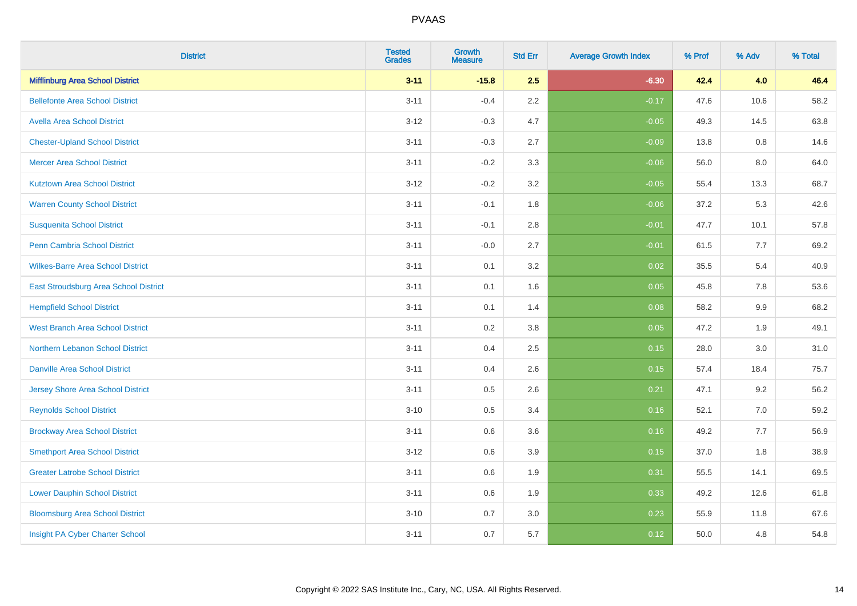| <b>District</b>                          | <b>Tested</b><br><b>Grades</b> | <b>Growth</b><br><b>Measure</b> | <b>Std Err</b> | <b>Average Growth Index</b> | % Prof | % Adv | % Total |
|------------------------------------------|--------------------------------|---------------------------------|----------------|-----------------------------|--------|-------|---------|
| <b>Mifflinburg Area School District</b>  | $3 - 11$                       | $-15.8$                         | 2.5            | $-6.30$                     | 42.4   | 4.0   | 46.4    |
| <b>Bellefonte Area School District</b>   | $3 - 11$                       | $-0.4$                          | 2.2            | $-0.17$                     | 47.6   | 10.6  | 58.2    |
| <b>Avella Area School District</b>       | $3 - 12$                       | $-0.3$                          | 4.7            | $-0.05$                     | 49.3   | 14.5  | 63.8    |
| <b>Chester-Upland School District</b>    | $3 - 11$                       | $-0.3$                          | 2.7            | $-0.09$                     | 13.8   | 0.8   | 14.6    |
| <b>Mercer Area School District</b>       | $3 - 11$                       | $-0.2$                          | 3.3            | $-0.06$                     | 56.0   | 8.0   | 64.0    |
| <b>Kutztown Area School District</b>     | $3 - 12$                       | $-0.2$                          | 3.2            | $-0.05$                     | 55.4   | 13.3  | 68.7    |
| <b>Warren County School District</b>     | $3 - 11$                       | $-0.1$                          | 1.8            | $-0.06$                     | 37.2   | 5.3   | 42.6    |
| <b>Susquenita School District</b>        | $3 - 11$                       | $-0.1$                          | 2.8            | $-0.01$                     | 47.7   | 10.1  | 57.8    |
| Penn Cambria School District             | $3 - 11$                       | $-0.0$                          | 2.7            | $-0.01$                     | 61.5   | 7.7   | 69.2    |
| <b>Wilkes-Barre Area School District</b> | $3 - 11$                       | 0.1                             | 3.2            | 0.02                        | 35.5   | 5.4   | 40.9    |
| East Stroudsburg Area School District    | $3 - 11$                       | 0.1                             | 1.6            | 0.05                        | 45.8   | 7.8   | 53.6    |
| <b>Hempfield School District</b>         | $3 - 11$                       | 0.1                             | 1.4            | 0.08                        | 58.2   | 9.9   | 68.2    |
| <b>West Branch Area School District</b>  | $3 - 11$                       | 0.2                             | $3.8\,$        | 0.05                        | 47.2   | 1.9   | 49.1    |
| Northern Lebanon School District         | $3 - 11$                       | 0.4                             | 2.5            | 0.15                        | 28.0   | 3.0   | 31.0    |
| <b>Danville Area School District</b>     | $3 - 11$                       | 0.4                             | 2.6            | 0.15                        | 57.4   | 18.4  | 75.7    |
| <b>Jersey Shore Area School District</b> | $3 - 11$                       | $0.5\,$                         | 2.6            | 0.21                        | 47.1   | 9.2   | 56.2    |
| <b>Reynolds School District</b>          | $3 - 10$                       | 0.5                             | 3.4            | 0.16                        | 52.1   | 7.0   | 59.2    |
| <b>Brockway Area School District</b>     | $3 - 11$                       | 0.6                             | 3.6            | 0.16                        | 49.2   | 7.7   | 56.9    |
| <b>Smethport Area School District</b>    | $3 - 12$                       | 0.6                             | 3.9            | 0.15                        | 37.0   | 1.8   | 38.9    |
| <b>Greater Latrobe School District</b>   | $3 - 11$                       | 0.6                             | 1.9            | 0.31                        | 55.5   | 14.1  | 69.5    |
| <b>Lower Dauphin School District</b>     | $3 - 11$                       | 0.6                             | 1.9            | 0.33                        | 49.2   | 12.6  | 61.8    |
| <b>Bloomsburg Area School District</b>   | $3 - 10$                       | 0.7                             | 3.0            | 0.23                        | 55.9   | 11.8  | 67.6    |
| Insight PA Cyber Charter School          | $3 - 11$                       | 0.7                             | 5.7            | 0.12                        | 50.0   | 4.8   | 54.8    |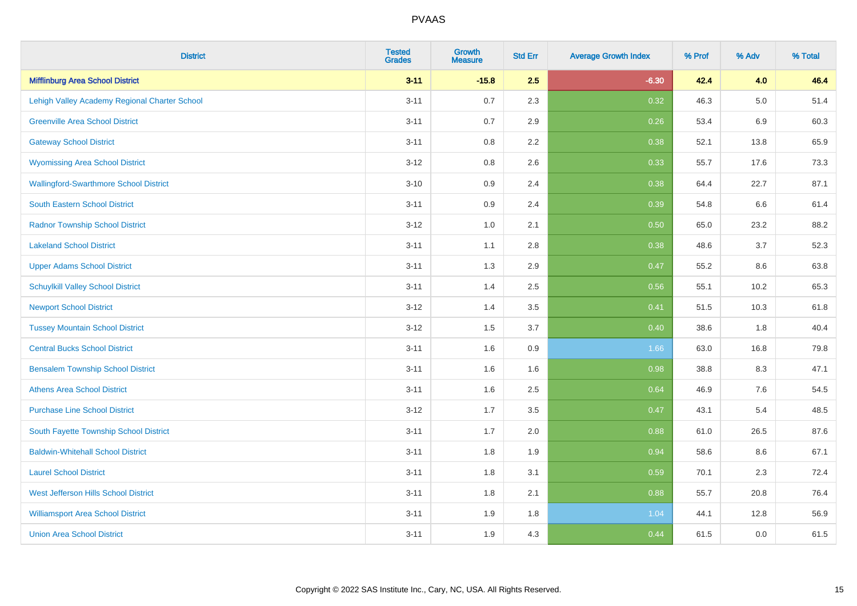| <b>District</b>                               | <b>Tested</b><br><b>Grades</b> | <b>Growth</b><br><b>Measure</b> | <b>Std Err</b> | <b>Average Growth Index</b> | % Prof | % Adv   | % Total |
|-----------------------------------------------|--------------------------------|---------------------------------|----------------|-----------------------------|--------|---------|---------|
| <b>Mifflinburg Area School District</b>       | $3 - 11$                       | $-15.8$                         | 2.5            | $-6.30$                     | 42.4   | 4.0     | 46.4    |
| Lehigh Valley Academy Regional Charter School | $3 - 11$                       | 0.7                             | 2.3            | 0.32                        | 46.3   | $5.0\,$ | 51.4    |
| <b>Greenville Area School District</b>        | $3 - 11$                       | 0.7                             | 2.9            | 0.26                        | 53.4   | 6.9     | 60.3    |
| <b>Gateway School District</b>                | $3 - 11$                       | 0.8                             | 2.2            | 0.38                        | 52.1   | 13.8    | 65.9    |
| <b>Wyomissing Area School District</b>        | $3 - 12$                       | 0.8                             | 2.6            | 0.33                        | 55.7   | 17.6    | 73.3    |
| <b>Wallingford-Swarthmore School District</b> | $3 - 10$                       | 0.9                             | 2.4            | 0.38                        | 64.4   | 22.7    | 87.1    |
| South Eastern School District                 | $3 - 11$                       | 0.9                             | 2.4            | 0.39                        | 54.8   | 6.6     | 61.4    |
| <b>Radnor Township School District</b>        | $3 - 12$                       | 1.0                             | 2.1            | 0.50                        | 65.0   | 23.2    | 88.2    |
| <b>Lakeland School District</b>               | $3 - 11$                       | 1.1                             | 2.8            | 0.38                        | 48.6   | 3.7     | 52.3    |
| <b>Upper Adams School District</b>            | $3 - 11$                       | 1.3                             | 2.9            | 0.47                        | 55.2   | 8.6     | 63.8    |
| <b>Schuylkill Valley School District</b>      | $3 - 11$                       | 1.4                             | 2.5            | 0.56                        | 55.1   | 10.2    | 65.3    |
| <b>Newport School District</b>                | $3 - 12$                       | 1.4                             | 3.5            | 0.41                        | 51.5   | 10.3    | 61.8    |
| <b>Tussey Mountain School District</b>        | $3 - 12$                       | 1.5                             | 3.7            | 0.40                        | 38.6   | 1.8     | 40.4    |
| <b>Central Bucks School District</b>          | $3 - 11$                       | 1.6                             | 0.9            | 1.66                        | 63.0   | 16.8    | 79.8    |
| <b>Bensalem Township School District</b>      | $3 - 11$                       | 1.6                             | 1.6            | 0.98                        | 38.8   | 8.3     | 47.1    |
| <b>Athens Area School District</b>            | $3 - 11$                       | 1.6                             | 2.5            | 0.64                        | 46.9   | $7.6\,$ | 54.5    |
| <b>Purchase Line School District</b>          | $3 - 12$                       | 1.7                             | 3.5            | 0.47                        | 43.1   | 5.4     | 48.5    |
| South Fayette Township School District        | $3 - 11$                       | 1.7                             | 2.0            | 0.88                        | 61.0   | 26.5    | 87.6    |
| <b>Baldwin-Whitehall School District</b>      | $3 - 11$                       | 1.8                             | 1.9            | 0.94                        | 58.6   | 8.6     | 67.1    |
| <b>Laurel School District</b>                 | $3 - 11$                       | 1.8                             | 3.1            | 0.59                        | 70.1   | 2.3     | 72.4    |
| <b>West Jefferson Hills School District</b>   | $3 - 11$                       | 1.8                             | 2.1            | 0.88                        | 55.7   | 20.8    | 76.4    |
| <b>Williamsport Area School District</b>      | $3 - 11$                       | 1.9                             | 1.8            | 1.04                        | 44.1   | 12.8    | 56.9    |
| <b>Union Area School District</b>             | $3 - 11$                       | 1.9                             | 4.3            | 0.44                        | 61.5   | 0.0     | 61.5    |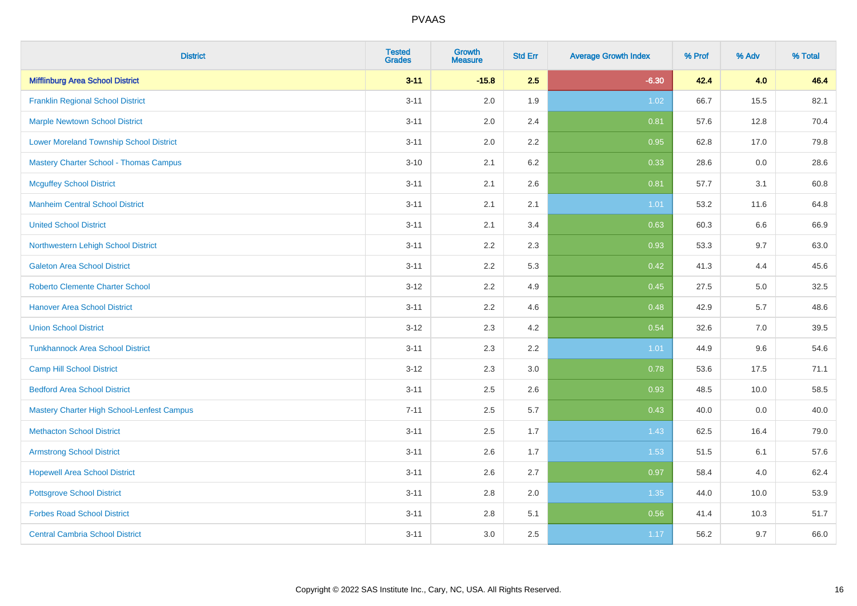| <b>District</b>                                | <b>Tested</b><br><b>Grades</b> | <b>Growth</b><br><b>Measure</b> | <b>Std Err</b> | <b>Average Growth Index</b> | % Prof | % Adv | % Total |
|------------------------------------------------|--------------------------------|---------------------------------|----------------|-----------------------------|--------|-------|---------|
| <b>Mifflinburg Area School District</b>        | $3 - 11$                       | $-15.8$                         | 2.5            | $-6.30$                     | 42.4   | 4.0   | 46.4    |
| <b>Franklin Regional School District</b>       | $3 - 11$                       | 2.0                             | 1.9            | 1.02                        | 66.7   | 15.5  | 82.1    |
| <b>Marple Newtown School District</b>          | $3 - 11$                       | 2.0                             | 2.4            | 0.81                        | 57.6   | 12.8  | 70.4    |
| <b>Lower Moreland Township School District</b> | $3 - 11$                       | 2.0                             | 2.2            | 0.95                        | 62.8   | 17.0  | 79.8    |
| <b>Mastery Charter School - Thomas Campus</b>  | $3 - 10$                       | 2.1                             | 6.2            | 0.33                        | 28.6   | 0.0   | 28.6    |
| <b>Mcguffey School District</b>                | $3 - 11$                       | 2.1                             | 2.6            | 0.81                        | 57.7   | 3.1   | 60.8    |
| <b>Manheim Central School District</b>         | $3 - 11$                       | 2.1                             | 2.1            | 1.01                        | 53.2   | 11.6  | 64.8    |
| <b>United School District</b>                  | $3 - 11$                       | 2.1                             | 3.4            | 0.63                        | 60.3   | 6.6   | 66.9    |
| Northwestern Lehigh School District            | $3 - 11$                       | 2.2                             | 2.3            | 0.93                        | 53.3   | 9.7   | 63.0    |
| <b>Galeton Area School District</b>            | $3 - 11$                       | $2.2\,$                         | 5.3            | 0.42                        | 41.3   | 4.4   | 45.6    |
| <b>Roberto Clemente Charter School</b>         | $3 - 12$                       | 2.2                             | 4.9            | 0.45                        | 27.5   | 5.0   | 32.5    |
| <b>Hanover Area School District</b>            | $3 - 11$                       | 2.2                             | 4.6            | 0.48                        | 42.9   | 5.7   | 48.6    |
| <b>Union School District</b>                   | $3 - 12$                       | 2.3                             | 4.2            | 0.54                        | 32.6   | 7.0   | 39.5    |
| <b>Tunkhannock Area School District</b>        | $3 - 11$                       | 2.3                             | 2.2            | 1.01                        | 44.9   | 9.6   | 54.6    |
| <b>Camp Hill School District</b>               | $3 - 12$                       | 2.3                             | $3.0\,$        | 0.78                        | 53.6   | 17.5  | 71.1    |
| <b>Bedford Area School District</b>            | $3 - 11$                       | 2.5                             | 2.6            | 0.93                        | 48.5   | 10.0  | 58.5    |
| Mastery Charter High School-Lenfest Campus     | $7 - 11$                       | 2.5                             | 5.7            | 0.43                        | 40.0   | 0.0   | 40.0    |
| <b>Methacton School District</b>               | $3 - 11$                       | 2.5                             | 1.7            | 1.43                        | 62.5   | 16.4  | 79.0    |
| <b>Armstrong School District</b>               | $3 - 11$                       | 2.6                             | 1.7            | 1.53                        | 51.5   | 6.1   | 57.6    |
| <b>Hopewell Area School District</b>           | $3 - 11$                       | 2.6                             | 2.7            | 0.97                        | 58.4   | 4.0   | 62.4    |
| <b>Pottsgrove School District</b>              | $3 - 11$                       | 2.8                             | 2.0            | 1.35                        | 44.0   | 10.0  | 53.9    |
| <b>Forbes Road School District</b>             | $3 - 11$                       | 2.8                             | 5.1            | 0.56                        | 41.4   | 10.3  | 51.7    |
| <b>Central Cambria School District</b>         | $3 - 11$                       | 3.0                             | 2.5            | 1.17                        | 56.2   | 9.7   | 66.0    |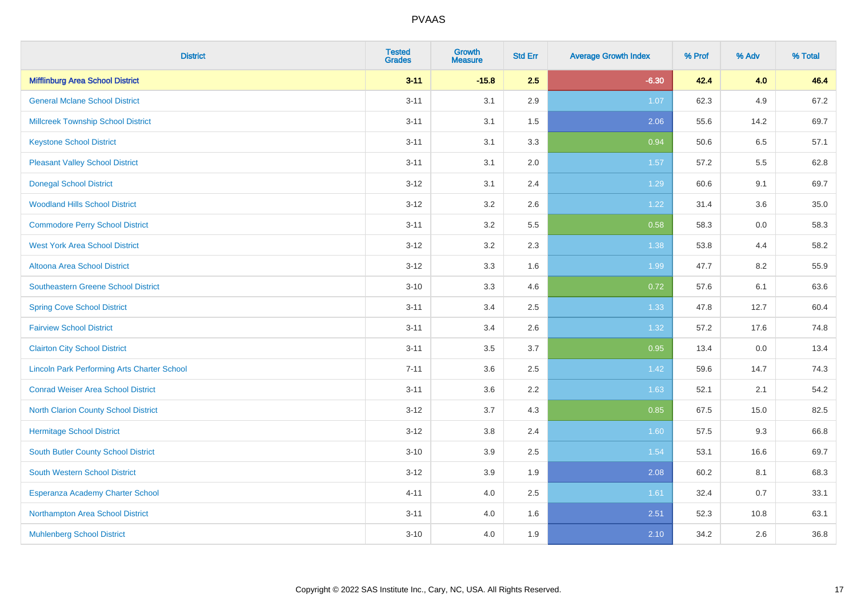| <b>District</b>                                    | <b>Tested</b><br><b>Grades</b> | <b>Growth</b><br><b>Measure</b> | <b>Std Err</b> | <b>Average Growth Index</b> | % Prof | % Adv | % Total |
|----------------------------------------------------|--------------------------------|---------------------------------|----------------|-----------------------------|--------|-------|---------|
| <b>Mifflinburg Area School District</b>            | $3 - 11$                       | $-15.8$                         | 2.5            | $-6.30$                     | 42.4   | 4.0   | 46.4    |
| <b>General Mclane School District</b>              | $3 - 11$                       | 3.1                             | 2.9            | 1.07                        | 62.3   | 4.9   | 67.2    |
| <b>Millcreek Township School District</b>          | $3 - 11$                       | 3.1                             | 1.5            | 2.06                        | 55.6   | 14.2  | 69.7    |
| <b>Keystone School District</b>                    | $3 - 11$                       | 3.1                             | 3.3            | 0.94                        | 50.6   | 6.5   | 57.1    |
| <b>Pleasant Valley School District</b>             | $3 - 11$                       | 3.1                             | 2.0            | 1.57                        | 57.2   | 5.5   | 62.8    |
| <b>Donegal School District</b>                     | $3 - 12$                       | 3.1                             | 2.4            | 1.29                        | 60.6   | 9.1   | 69.7    |
| <b>Woodland Hills School District</b>              | $3 - 12$                       | 3.2                             | 2.6            | 1.22                        | 31.4   | 3.6   | 35.0    |
| <b>Commodore Perry School District</b>             | $3 - 11$                       | 3.2                             | 5.5            | 0.58                        | 58.3   | 0.0   | 58.3    |
| <b>West York Area School District</b>              | $3 - 12$                       | 3.2                             | 2.3            | 1.38                        | 53.8   | 4.4   | 58.2    |
| Altoona Area School District                       | $3 - 12$                       | 3.3                             | 1.6            | 1.99                        | 47.7   | 8.2   | 55.9    |
| <b>Southeastern Greene School District</b>         | $3 - 10$                       | 3.3                             | 4.6            | 0.72                        | 57.6   | 6.1   | 63.6    |
| <b>Spring Cove School District</b>                 | $3 - 11$                       | 3.4                             | 2.5            | 1.33                        | 47.8   | 12.7  | 60.4    |
| <b>Fairview School District</b>                    | $3 - 11$                       | 3.4                             | 2.6            | 1.32                        | 57.2   | 17.6  | 74.8    |
| <b>Clairton City School District</b>               | $3 - 11$                       | 3.5                             | 3.7            | 0.95                        | 13.4   | 0.0   | 13.4    |
| <b>Lincoln Park Performing Arts Charter School</b> | $7 - 11$                       | 3.6                             | 2.5            | 1.42                        | 59.6   | 14.7  | 74.3    |
| <b>Conrad Weiser Area School District</b>          | $3 - 11$                       | 3.6                             | 2.2            | 1.63                        | 52.1   | 2.1   | 54.2    |
| <b>North Clarion County School District</b>        | $3 - 12$                       | 3.7                             | 4.3            | 0.85                        | 67.5   | 15.0  | 82.5    |
| <b>Hermitage School District</b>                   | $3 - 12$                       | 3.8                             | 2.4            | 1.60                        | 57.5   | 9.3   | 66.8    |
| <b>South Butler County School District</b>         | $3 - 10$                       | 3.9                             | 2.5            | 1.54                        | 53.1   | 16.6  | 69.7    |
| South Western School District                      | $3-12$                         | 3.9                             | 1.9            | 2.08                        | 60.2   | 8.1   | 68.3    |
| Esperanza Academy Charter School                   | $4 - 11$                       | 4.0                             | 2.5            | 1.61                        | 32.4   | 0.7   | 33.1    |
| Northampton Area School District                   | $3 - 11$                       | 4.0                             | 1.6            | 2.51                        | 52.3   | 10.8  | 63.1    |
| <b>Muhlenberg School District</b>                  | $3 - 10$                       | 4.0                             | 1.9            | 2.10                        | 34.2   | 2.6   | 36.8    |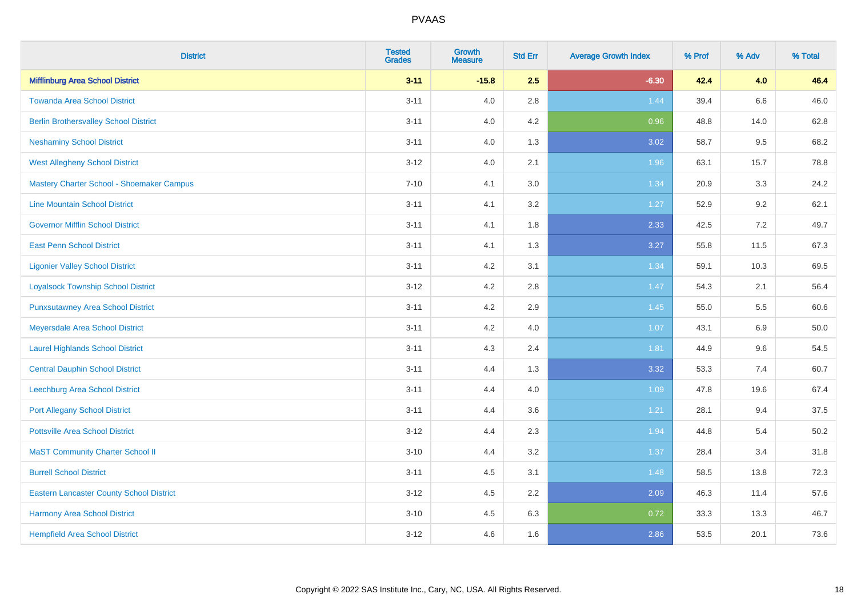| <b>District</b>                                 | <b>Tested</b><br><b>Grades</b> | <b>Growth</b><br><b>Measure</b> | <b>Std Err</b> | <b>Average Growth Index</b> | % Prof | % Adv | % Total |
|-------------------------------------------------|--------------------------------|---------------------------------|----------------|-----------------------------|--------|-------|---------|
| <b>Mifflinburg Area School District</b>         | $3 - 11$                       | $-15.8$                         | 2.5            | $-6.30$                     | 42.4   | 4.0   | 46.4    |
| <b>Towanda Area School District</b>             | $3 - 11$                       | 4.0                             | 2.8            | 1.44                        | 39.4   | 6.6   | 46.0    |
| <b>Berlin Brothersvalley School District</b>    | $3 - 11$                       | 4.0                             | 4.2            | 0.96                        | 48.8   | 14.0  | 62.8    |
| <b>Neshaminy School District</b>                | $3 - 11$                       | 4.0                             | 1.3            | 3.02                        | 58.7   | 9.5   | 68.2    |
| <b>West Allegheny School District</b>           | $3 - 12$                       | 4.0                             | 2.1            | 1.96                        | 63.1   | 15.7  | 78.8    |
| Mastery Charter School - Shoemaker Campus       | $7 - 10$                       | 4.1                             | 3.0            | 1.34                        | 20.9   | 3.3   | 24.2    |
| <b>Line Mountain School District</b>            | $3 - 11$                       | 4.1                             | 3.2            | 1.27                        | 52.9   | 9.2   | 62.1    |
| <b>Governor Mifflin School District</b>         | $3 - 11$                       | 4.1                             | 1.8            | 2.33                        | 42.5   | 7.2   | 49.7    |
| <b>East Penn School District</b>                | $3 - 11$                       | 4.1                             | 1.3            | 3.27                        | 55.8   | 11.5  | 67.3    |
| <b>Ligonier Valley School District</b>          | $3 - 11$                       | 4.2                             | 3.1            | 1.34                        | 59.1   | 10.3  | 69.5    |
| <b>Loyalsock Township School District</b>       | $3 - 12$                       | 4.2                             | 2.8            | 1.47                        | 54.3   | 2.1   | 56.4    |
| <b>Punxsutawney Area School District</b>        | $3 - 11$                       | 4.2                             | 2.9            | 1.45                        | 55.0   | 5.5   | 60.6    |
| Meyersdale Area School District                 | $3 - 11$                       | 4.2                             | 4.0            | 1.07                        | 43.1   | 6.9   | 50.0    |
| <b>Laurel Highlands School District</b>         | $3 - 11$                       | 4.3                             | 2.4            | 1.81                        | 44.9   | 9.6   | 54.5    |
| <b>Central Dauphin School District</b>          | $3 - 11$                       | 4.4                             | 1.3            | 3.32                        | 53.3   | 7.4   | 60.7    |
| Leechburg Area School District                  | $3 - 11$                       | 4.4                             | 4.0            | 1.09                        | 47.8   | 19.6  | 67.4    |
| <b>Port Allegany School District</b>            | $3 - 11$                       | 4.4                             | 3.6            | 1.21                        | 28.1   | 9.4   | 37.5    |
| <b>Pottsville Area School District</b>          | $3 - 12$                       | 4.4                             | 2.3            | 1.94                        | 44.8   | 5.4   | 50.2    |
| <b>MaST Community Charter School II</b>         | $3 - 10$                       | 4.4                             | 3.2            | 1.37                        | 28.4   | 3.4   | 31.8    |
| <b>Burrell School District</b>                  | $3 - 11$                       | 4.5                             | 3.1            | 1.48                        | 58.5   | 13.8  | 72.3    |
| <b>Eastern Lancaster County School District</b> | $3-12$                         | 4.5                             | 2.2            | 2.09                        | 46.3   | 11.4  | 57.6    |
| <b>Harmony Area School District</b>             | $3 - 10$                       | 4.5                             | 6.3            | 0.72                        | 33.3   | 13.3  | 46.7    |
| <b>Hempfield Area School District</b>           | $3 - 12$                       | 4.6                             | 1.6            | 2.86                        | 53.5   | 20.1  | 73.6    |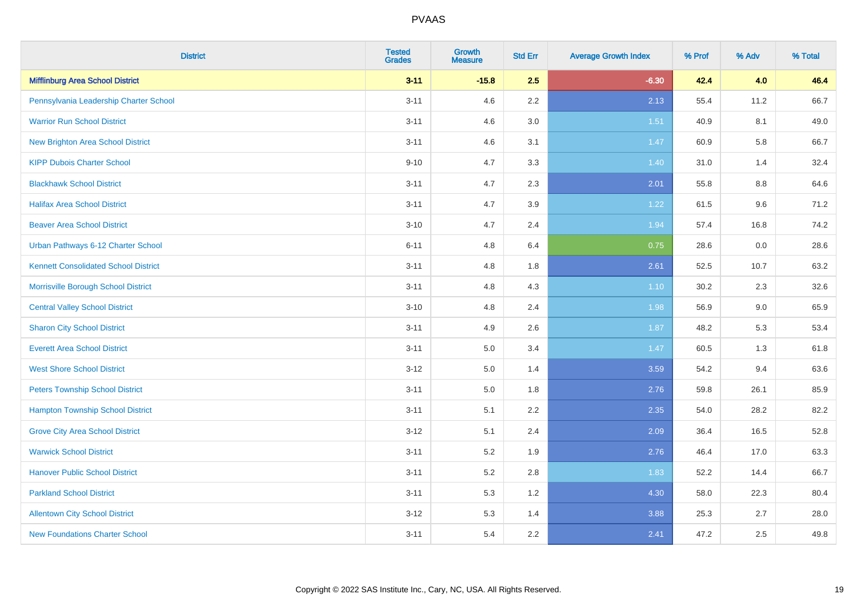| <b>District</b>                             | <b>Tested</b><br><b>Grades</b> | <b>Growth</b><br><b>Measure</b> | <b>Std Err</b> | <b>Average Growth Index</b> | % Prof | % Adv | % Total |
|---------------------------------------------|--------------------------------|---------------------------------|----------------|-----------------------------|--------|-------|---------|
| <b>Mifflinburg Area School District</b>     | $3 - 11$                       | $-15.8$                         | 2.5            | $-6.30$                     | 42.4   | 4.0   | 46.4    |
| Pennsylvania Leadership Charter School      | $3 - 11$                       | 4.6                             | $2.2\,$        | 2.13                        | 55.4   | 11.2  | 66.7    |
| <b>Warrior Run School District</b>          | $3 - 11$                       | 4.6                             | 3.0            | 1.51                        | 40.9   | 8.1   | 49.0    |
| <b>New Brighton Area School District</b>    | $3 - 11$                       | 4.6                             | 3.1            | 1.47                        | 60.9   | 5.8   | 66.7    |
| <b>KIPP Dubois Charter School</b>           | $9 - 10$                       | 4.7                             | 3.3            | 1.40                        | 31.0   | 1.4   | 32.4    |
| <b>Blackhawk School District</b>            | $3 - 11$                       | 4.7                             | 2.3            | 2.01                        | 55.8   | 8.8   | 64.6    |
| <b>Halifax Area School District</b>         | $3 - 11$                       | 4.7                             | 3.9            | 1.22                        | 61.5   | 9.6   | 71.2    |
| <b>Beaver Area School District</b>          | $3 - 10$                       | 4.7                             | 2.4            | 1.94                        | 57.4   | 16.8  | 74.2    |
| Urban Pathways 6-12 Charter School          | $6 - 11$                       | 4.8                             | 6.4            | 0.75                        | 28.6   | 0.0   | 28.6    |
| <b>Kennett Consolidated School District</b> | $3 - 11$                       | 4.8                             | 1.8            | 2.61                        | 52.5   | 10.7  | 63.2    |
| Morrisville Borough School District         | $3 - 11$                       | 4.8                             | 4.3            | $1.10$                      | 30.2   | 2.3   | 32.6    |
| <b>Central Valley School District</b>       | $3 - 10$                       | 4.8                             | 2.4            | 1.98                        | 56.9   | 9.0   | 65.9    |
| <b>Sharon City School District</b>          | $3 - 11$                       | 4.9                             | 2.6            | 1.87                        | 48.2   | 5.3   | 53.4    |
| <b>Everett Area School District</b>         | $3 - 11$                       | $5.0\,$                         | 3.4            | 1.47                        | 60.5   | 1.3   | 61.8    |
| <b>West Shore School District</b>           | $3 - 12$                       | 5.0                             | 1.4            | 3.59                        | 54.2   | 9.4   | 63.6    |
| <b>Peters Township School District</b>      | $3 - 11$                       | 5.0                             | 1.8            | 2.76                        | 59.8   | 26.1  | 85.9    |
| <b>Hampton Township School District</b>     | $3 - 11$                       | 5.1                             | 2.2            | 2.35                        | 54.0   | 28.2  | 82.2    |
| <b>Grove City Area School District</b>      | $3 - 12$                       | 5.1                             | 2.4            | 2.09                        | 36.4   | 16.5  | 52.8    |
| <b>Warwick School District</b>              | $3 - 11$                       | 5.2                             | 1.9            | 2.76                        | 46.4   | 17.0  | 63.3    |
| <b>Hanover Public School District</b>       | $3 - 11$                       | 5.2                             | 2.8            | 1.83                        | 52.2   | 14.4  | 66.7    |
| <b>Parkland School District</b>             | $3 - 11$                       | 5.3                             | 1.2            | 4.30                        | 58.0   | 22.3  | 80.4    |
| <b>Allentown City School District</b>       | $3 - 12$                       | 5.3                             | 1.4            | 3.88                        | 25.3   | 2.7   | 28.0    |
| <b>New Foundations Charter School</b>       | $3 - 11$                       | 5.4                             | 2.2            | 2.41                        | 47.2   | 2.5   | 49.8    |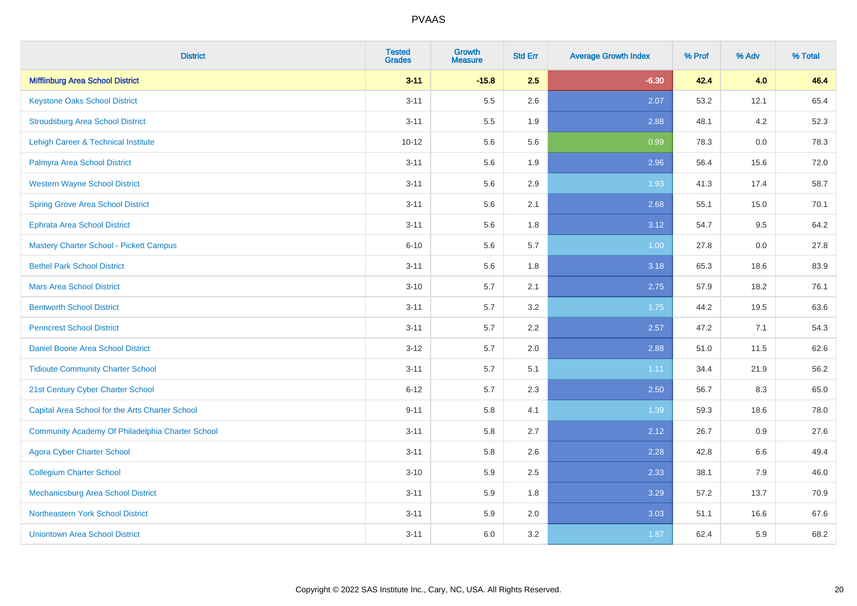| <b>District</b>                                  | <b>Tested</b><br><b>Grades</b> | <b>Growth</b><br><b>Measure</b> | <b>Std Err</b> | <b>Average Growth Index</b> | % Prof | % Adv | % Total |
|--------------------------------------------------|--------------------------------|---------------------------------|----------------|-----------------------------|--------|-------|---------|
| <b>Mifflinburg Area School District</b>          | $3 - 11$                       | $-15.8$                         | 2.5            | $-6.30$                     | 42.4   | 4.0   | 46.4    |
| <b>Keystone Oaks School District</b>             | $3 - 11$                       | 5.5                             | 2.6            | 2.07                        | 53.2   | 12.1  | 65.4    |
| <b>Stroudsburg Area School District</b>          | $3 - 11$                       | 5.5                             | 1.9            | 2.88                        | 48.1   | 4.2   | 52.3    |
| Lehigh Career & Technical Institute              | $10 - 12$                      | 5.6                             | 5.6            | 0.99                        | 78.3   | 0.0   | 78.3    |
| Palmyra Area School District                     | $3 - 11$                       | 5.6                             | 1.9            | 2.96                        | 56.4   | 15.6  | 72.0    |
| <b>Western Wayne School District</b>             | $3 - 11$                       | 5.6                             | 2.9            | 1.93                        | 41.3   | 17.4  | 58.7    |
| <b>Spring Grove Area School District</b>         | $3 - 11$                       | 5.6                             | 2.1            | 2.68                        | 55.1   | 15.0  | 70.1    |
| <b>Ephrata Area School District</b>              | $3 - 11$                       | 5.6                             | 1.8            | 3.12                        | 54.7   | 9.5   | 64.2    |
| <b>Mastery Charter School - Pickett Campus</b>   | $6 - 10$                       | 5.6                             | 5.7            | 1.00                        | 27.8   | 0.0   | 27.8    |
| <b>Bethel Park School District</b>               | $3 - 11$                       | 5.6                             | 1.8            | 3.18                        | 65.3   | 18.6  | 83.9    |
| <b>Mars Area School District</b>                 | $3 - 10$                       | 5.7                             | 2.1            | 2.75                        | 57.9   | 18.2  | 76.1    |
| <b>Bentworth School District</b>                 | $3 - 11$                       | 5.7                             | 3.2            | 1.75                        | 44.2   | 19.5  | 63.6    |
| <b>Penncrest School District</b>                 | $3 - 11$                       | 5.7                             | 2.2            | 2.57                        | 47.2   | 7.1   | 54.3    |
| Daniel Boone Area School District                | $3 - 12$                       | 5.7                             | 2.0            | 2.88                        | 51.0   | 11.5  | 62.6    |
| <b>Tidioute Community Charter School</b>         | $3 - 11$                       | 5.7                             | 5.1            | 1.11                        | 34.4   | 21.9  | 56.2    |
| 21st Century Cyber Charter School                | $6 - 12$                       | 5.7                             | 2.3            | 2.50                        | 56.7   | 8.3   | 65.0    |
| Capital Area School for the Arts Charter School  | $9 - 11$                       | 5.8                             | 4.1            | 1.39                        | 59.3   | 18.6  | 78.0    |
| Community Academy Of Philadelphia Charter School | $3 - 11$                       | 5.8                             | 2.7            | 2.12                        | 26.7   | 0.9   | 27.6    |
| <b>Agora Cyber Charter School</b>                | $3 - 11$                       | 5.8                             | 2.6            | 2.28                        | 42.8   | 6.6   | 49.4    |
| <b>Collegium Charter School</b>                  | $3 - 10$                       | 5.9                             | 2.5            | 2.33                        | 38.1   | 7.9   | 46.0    |
| <b>Mechanicsburg Area School District</b>        | $3 - 11$                       | 5.9                             | 1.8            | 3.29                        | 57.2   | 13.7  | 70.9    |
| Northeastern York School District                | $3 - 11$                       | 5.9                             | 2.0            | 3.03                        | 51.1   | 16.6  | 67.6    |
| <b>Uniontown Area School District</b>            | $3 - 11$                       | 6.0                             | 3.2            | 1.87                        | 62.4   | 5.9   | 68.2    |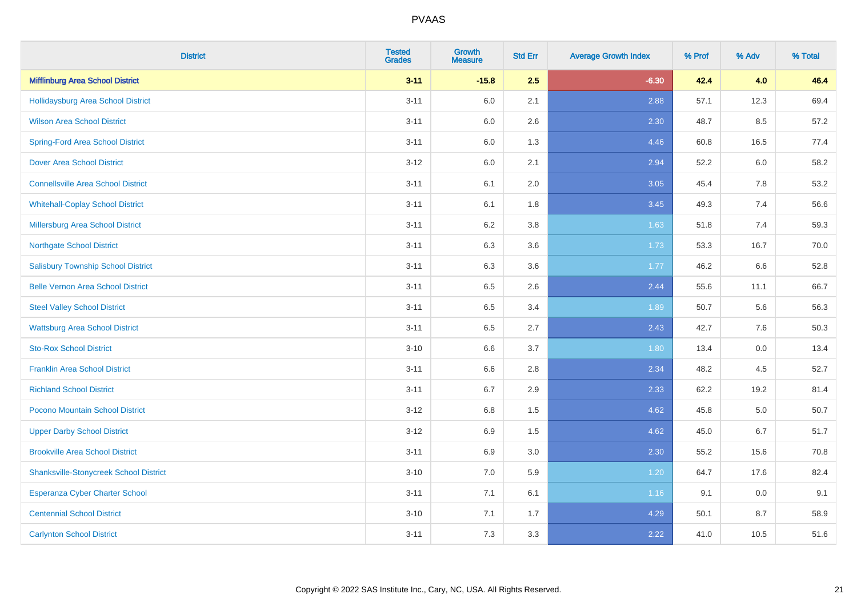| <b>District</b>                               | <b>Tested</b><br><b>Grades</b> | <b>Growth</b><br><b>Measure</b> | <b>Std Err</b> | <b>Average Growth Index</b> | % Prof | % Adv | % Total |
|-----------------------------------------------|--------------------------------|---------------------------------|----------------|-----------------------------|--------|-------|---------|
| <b>Mifflinburg Area School District</b>       | $3 - 11$                       | $-15.8$                         | 2.5            | $-6.30$                     | 42.4   | 4.0   | 46.4    |
| <b>Hollidaysburg Area School District</b>     | $3 - 11$                       | 6.0                             | 2.1            | 2.88                        | 57.1   | 12.3  | 69.4    |
| <b>Wilson Area School District</b>            | $3 - 11$                       | 6.0                             | 2.6            | 2.30                        | 48.7   | 8.5   | 57.2    |
| <b>Spring-Ford Area School District</b>       | $3 - 11$                       | $6.0\,$                         | 1.3            | 4.46                        | 60.8   | 16.5  | 77.4    |
| <b>Dover Area School District</b>             | $3-12$                         | 6.0                             | 2.1            | 2.94                        | 52.2   | 6.0   | 58.2    |
| <b>Connellsville Area School District</b>     | $3 - 11$                       | 6.1                             | 2.0            | 3.05                        | 45.4   | 7.8   | 53.2    |
| <b>Whitehall-Coplay School District</b>       | $3 - 11$                       | 6.1                             | 1.8            | 3.45                        | 49.3   | 7.4   | 56.6    |
| <b>Millersburg Area School District</b>       | $3 - 11$                       | 6.2                             | 3.8            | 1.63                        | 51.8   | 7.4   | 59.3    |
| <b>Northgate School District</b>              | $3 - 11$                       | 6.3                             | 3.6            | 1.73                        | 53.3   | 16.7  | 70.0    |
| <b>Salisbury Township School District</b>     | $3 - 11$                       | 6.3                             | 3.6            | 1.77                        | 46.2   | 6.6   | 52.8    |
| <b>Belle Vernon Area School District</b>      | $3 - 11$                       | 6.5                             | 2.6            | 2.44                        | 55.6   | 11.1  | 66.7    |
| <b>Steel Valley School District</b>           | $3 - 11$                       | 6.5                             | 3.4            | 1.89                        | 50.7   | 5.6   | 56.3    |
| <b>Wattsburg Area School District</b>         | $3 - 11$                       | 6.5                             | 2.7            | 2.43                        | 42.7   | 7.6   | 50.3    |
| <b>Sto-Rox School District</b>                | $3 - 10$                       | 6.6                             | 3.7            | 1.80                        | 13.4   | 0.0   | 13.4    |
| <b>Franklin Area School District</b>          | $3 - 11$                       | 6.6                             | 2.8            | 2.34                        | 48.2   | 4.5   | 52.7    |
| <b>Richland School District</b>               | $3 - 11$                       | 6.7                             | 2.9            | 2.33                        | 62.2   | 19.2  | 81.4    |
| Pocono Mountain School District               | $3 - 12$                       | 6.8                             | 1.5            | 4.62                        | 45.8   | 5.0   | 50.7    |
| <b>Upper Darby School District</b>            | $3-12$                         | 6.9                             | 1.5            | 4.62                        | 45.0   | 6.7   | 51.7    |
| <b>Brookville Area School District</b>        | $3 - 11$                       | 6.9                             | 3.0            | 2.30                        | 55.2   | 15.6  | 70.8    |
| <b>Shanksville-Stonycreek School District</b> | $3 - 10$                       | 7.0                             | 5.9            | 1.20                        | 64.7   | 17.6  | 82.4    |
| <b>Esperanza Cyber Charter School</b>         | $3 - 11$                       | 7.1                             | 6.1            | 1.16                        | 9.1    | 0.0   | 9.1     |
| <b>Centennial School District</b>             | $3 - 10$                       | 7.1                             | 1.7            | 4.29                        | 50.1   | 8.7   | 58.9    |
| <b>Carlynton School District</b>              | $3 - 11$                       | 7.3                             | 3.3            | 2.22                        | 41.0   | 10.5  | 51.6    |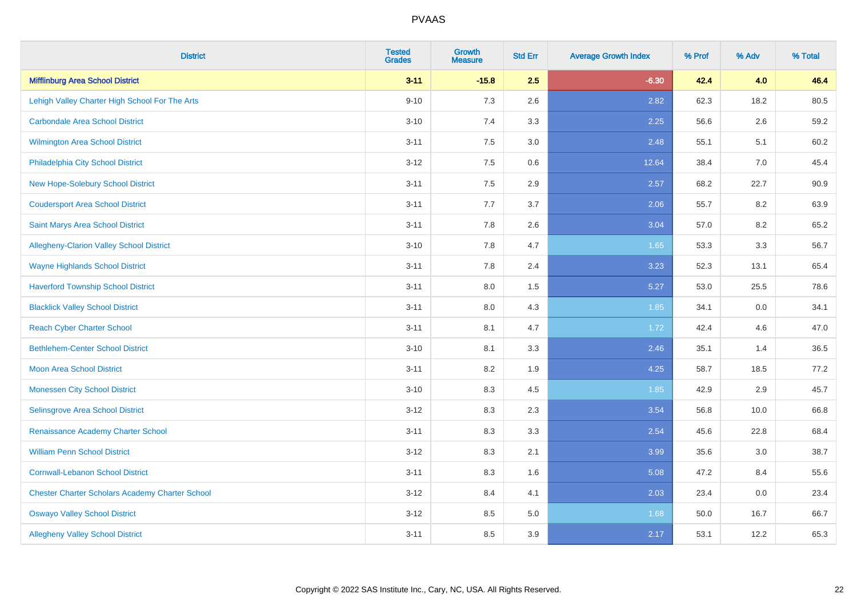| <b>District</b>                                        | <b>Tested</b><br><b>Grades</b> | <b>Growth</b><br><b>Measure</b> | <b>Std Err</b> | <b>Average Growth Index</b> | % Prof | % Adv | % Total |
|--------------------------------------------------------|--------------------------------|---------------------------------|----------------|-----------------------------|--------|-------|---------|
| <b>Mifflinburg Area School District</b>                | $3 - 11$                       | $-15.8$                         | 2.5            | $-6.30$                     | 42.4   | 4.0   | 46.4    |
| Lehigh Valley Charter High School For The Arts         | $9 - 10$                       | 7.3                             | 2.6            | 2.82                        | 62.3   | 18.2  | 80.5    |
| <b>Carbondale Area School District</b>                 | $3 - 10$                       | 7.4                             | 3.3            | 2.25                        | 56.6   | 2.6   | 59.2    |
| Wilmington Area School District                        | $3 - 11$                       | $7.5\,$                         | 3.0            | 2.48                        | 55.1   | 5.1   | 60.2    |
| Philadelphia City School District                      | $3 - 12$                       | 7.5                             | 0.6            | 12.64                       | 38.4   | 7.0   | 45.4    |
| <b>New Hope-Solebury School District</b>               | $3 - 11$                       | 7.5                             | 2.9            | 2.57                        | 68.2   | 22.7  | 90.9    |
| <b>Coudersport Area School District</b>                | $3 - 11$                       | 7.7                             | 3.7            | 2.06                        | 55.7   | 8.2   | 63.9    |
| Saint Marys Area School District                       | $3 - 11$                       | 7.8                             | 2.6            | 3.04                        | 57.0   | 8.2   | 65.2    |
| Allegheny-Clarion Valley School District               | $3 - 10$                       | 7.8                             | 4.7            | 1.65                        | 53.3   | 3.3   | 56.7    |
| <b>Wayne Highlands School District</b>                 | $3 - 11$                       | 7.8                             | 2.4            | 3.23                        | 52.3   | 13.1  | 65.4    |
| <b>Haverford Township School District</b>              | $3 - 11$                       | 8.0                             | 1.5            | 5.27                        | 53.0   | 25.5  | 78.6    |
| <b>Blacklick Valley School District</b>                | $3 - 11$                       | 8.0                             | 4.3            | 1.85                        | 34.1   | 0.0   | 34.1    |
| <b>Reach Cyber Charter School</b>                      | $3 - 11$                       | 8.1                             | 4.7            | 1.72                        | 42.4   | 4.6   | 47.0    |
| <b>Bethlehem-Center School District</b>                | $3 - 10$                       | 8.1                             | 3.3            | 2.46                        | 35.1   | 1.4   | 36.5    |
| <b>Moon Area School District</b>                       | $3 - 11$                       | 8.2                             | 1.9            | 4.25                        | 58.7   | 18.5  | 77.2    |
| <b>Monessen City School District</b>                   | $3 - 10$                       | 8.3                             | 4.5            | 1.85                        | 42.9   | 2.9   | 45.7    |
| Selinsgrove Area School District                       | $3 - 12$                       | 8.3                             | 2.3            | 3.54                        | 56.8   | 10.0  | 66.8    |
| Renaissance Academy Charter School                     | $3 - 11$                       | 8.3                             | 3.3            | 2.54                        | 45.6   | 22.8  | 68.4    |
| <b>William Penn School District</b>                    | $3 - 12$                       | 8.3                             | 2.1            | 3.99                        | 35.6   | 3.0   | 38.7    |
| <b>Cornwall-Lebanon School District</b>                | $3 - 11$                       | 8.3                             | 1.6            | 5.08                        | 47.2   | 8.4   | 55.6    |
| <b>Chester Charter Scholars Academy Charter School</b> | $3 - 12$                       | 8.4                             | 4.1            | 2.03                        | 23.4   | 0.0   | 23.4    |
| <b>Oswayo Valley School District</b>                   | $3 - 12$                       | 8.5                             | 5.0            | 1.68                        | 50.0   | 16.7  | 66.7    |
| <b>Allegheny Valley School District</b>                | $3 - 11$                       | 8.5                             | 3.9            | 2.17                        | 53.1   | 12.2  | 65.3    |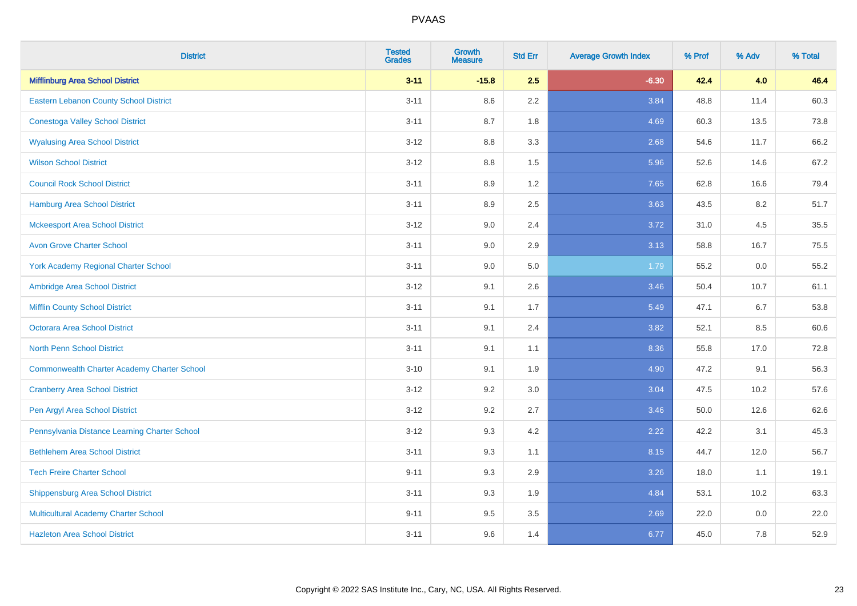| <b>District</b>                                    | <b>Tested</b><br><b>Grades</b> | <b>Growth</b><br><b>Measure</b> | <b>Std Err</b> | <b>Average Growth Index</b> | % Prof | % Adv | % Total |
|----------------------------------------------------|--------------------------------|---------------------------------|----------------|-----------------------------|--------|-------|---------|
| <b>Mifflinburg Area School District</b>            | $3 - 11$                       | $-15.8$                         | 2.5            | $-6.30$                     | 42.4   | 4.0   | 46.4    |
| Eastern Lebanon County School District             | $3 - 11$                       | 8.6                             | 2.2            | 3.84                        | 48.8   | 11.4  | 60.3    |
| <b>Conestoga Valley School District</b>            | $3 - 11$                       | 8.7                             | 1.8            | 4.69                        | 60.3   | 13.5  | 73.8    |
| <b>Wyalusing Area School District</b>              | $3 - 12$                       | 8.8                             | 3.3            | 2.68                        | 54.6   | 11.7  | 66.2    |
| <b>Wilson School District</b>                      | $3-12$                         | 8.8                             | 1.5            | 5.96                        | 52.6   | 14.6  | 67.2    |
| <b>Council Rock School District</b>                | $3 - 11$                       | 8.9                             | 1.2            | 7.65                        | 62.8   | 16.6  | 79.4    |
| Hamburg Area School District                       | $3 - 11$                       | 8.9                             | 2.5            | 3.63                        | 43.5   | 8.2   | 51.7    |
| <b>Mckeesport Area School District</b>             | $3 - 12$                       | 9.0                             | 2.4            | 3.72                        | 31.0   | 4.5   | 35.5    |
| <b>Avon Grove Charter School</b>                   | $3 - 11$                       | 9.0                             | 2.9            | 3.13                        | 58.8   | 16.7  | 75.5    |
| <b>York Academy Regional Charter School</b>        | $3 - 11$                       | 9.0                             | 5.0            | 1.79                        | 55.2   | 0.0   | 55.2    |
| Ambridge Area School District                      | $3 - 12$                       | 9.1                             | 2.6            | 3.46                        | 50.4   | 10.7  | 61.1    |
| <b>Mifflin County School District</b>              | $3 - 11$                       | 9.1                             | 1.7            | 5.49                        | 47.1   | 6.7   | 53.8    |
| Octorara Area School District                      | $3 - 11$                       | 9.1                             | 2.4            | 3.82                        | 52.1   | 8.5   | 60.6    |
| <b>North Penn School District</b>                  | $3 - 11$                       | 9.1                             | 1.1            | 8.36                        | 55.8   | 17.0  | 72.8    |
| <b>Commonwealth Charter Academy Charter School</b> | $3 - 10$                       | 9.1                             | 1.9            | 4.90                        | 47.2   | 9.1   | 56.3    |
| <b>Cranberry Area School District</b>              | $3-12$                         | 9.2                             | 3.0            | 3.04                        | 47.5   | 10.2  | 57.6    |
| Pen Argyl Area School District                     | $3-12$                         | 9.2                             | 2.7            | 3.46                        | 50.0   | 12.6  | 62.6    |
| Pennsylvania Distance Learning Charter School      | $3 - 12$                       | 9.3                             | 4.2            | 2.22                        | 42.2   | 3.1   | 45.3    |
| <b>Bethlehem Area School District</b>              | $3 - 11$                       | 9.3                             | 1.1            | 8.15                        | 44.7   | 12.0  | 56.7    |
| <b>Tech Freire Charter School</b>                  | $9 - 11$                       | 9.3                             | 2.9            | 3.26                        | 18.0   | 1.1   | 19.1    |
| <b>Shippensburg Area School District</b>           | $3 - 11$                       | 9.3                             | 1.9            | 4.84                        | 53.1   | 10.2  | 63.3    |
| Multicultural Academy Charter School               | $9 - 11$                       | 9.5                             | 3.5            | 2.69                        | 22.0   | 0.0   | 22.0    |
| <b>Hazleton Area School District</b>               | $3 - 11$                       | 9.6                             | 1.4            | 6.77                        | 45.0   | 7.8   | 52.9    |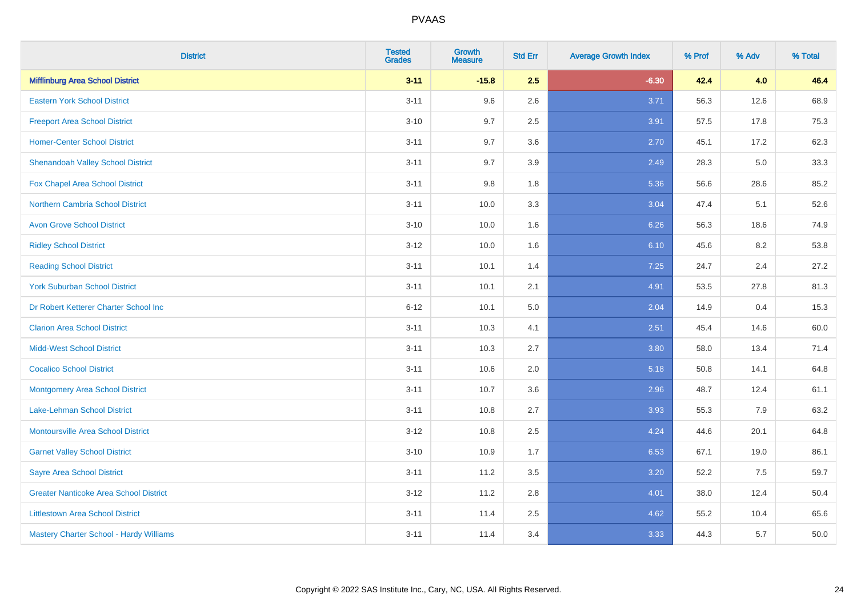| <b>District</b>                               | <b>Tested</b><br><b>Grades</b> | <b>Growth</b><br><b>Measure</b> | <b>Std Err</b> | <b>Average Growth Index</b> | % Prof | % Adv | % Total |
|-----------------------------------------------|--------------------------------|---------------------------------|----------------|-----------------------------|--------|-------|---------|
| <b>Mifflinburg Area School District</b>       | $3 - 11$                       | $-15.8$                         | 2.5            | $-6.30$                     | 42.4   | 4.0   | 46.4    |
| <b>Eastern York School District</b>           | $3 - 11$                       | 9.6                             | 2.6            | 3.71                        | 56.3   | 12.6  | 68.9    |
| <b>Freeport Area School District</b>          | $3 - 10$                       | 9.7                             | 2.5            | 3.91                        | 57.5   | 17.8  | 75.3    |
| <b>Homer-Center School District</b>           | $3 - 11$                       | 9.7                             | 3.6            | 2.70                        | 45.1   | 17.2  | 62.3    |
| <b>Shenandoah Valley School District</b>      | $3 - 11$                       | 9.7                             | 3.9            | 2.49                        | 28.3   | 5.0   | 33.3    |
| Fox Chapel Area School District               | $3 - 11$                       | 9.8                             | 1.8            | 5.36                        | 56.6   | 28.6  | 85.2    |
| <b>Northern Cambria School District</b>       | $3 - 11$                       | 10.0                            | 3.3            | 3.04                        | 47.4   | 5.1   | 52.6    |
| <b>Avon Grove School District</b>             | $3 - 10$                       | 10.0                            | 1.6            | 6.26                        | 56.3   | 18.6  | 74.9    |
| <b>Ridley School District</b>                 | $3 - 12$                       | 10.0                            | 1.6            | 6.10                        | 45.6   | 8.2   | 53.8    |
| <b>Reading School District</b>                | $3 - 11$                       | 10.1                            | 1.4            | 7.25                        | 24.7   | 2.4   | 27.2    |
| <b>York Suburban School District</b>          | $3 - 11$                       | 10.1                            | 2.1            | 4.91                        | 53.5   | 27.8  | 81.3    |
| Dr Robert Ketterer Charter School Inc         | $6 - 12$                       | 10.1                            | 5.0            | 2.04                        | 14.9   | 0.4   | 15.3    |
| <b>Clarion Area School District</b>           | $3 - 11$                       | 10.3                            | 4.1            | 2.51                        | 45.4   | 14.6  | 60.0    |
| <b>Midd-West School District</b>              | $3 - 11$                       | 10.3                            | 2.7            | 3.80                        | 58.0   | 13.4  | 71.4    |
| <b>Cocalico School District</b>               | $3 - 11$                       | 10.6                            | 2.0            | 5.18                        | 50.8   | 14.1  | 64.8    |
| <b>Montgomery Area School District</b>        | $3 - 11$                       | 10.7                            | 3.6            | 2.96                        | 48.7   | 12.4  | 61.1    |
| Lake-Lehman School District                   | $3 - 11$                       | 10.8                            | 2.7            | 3.93                        | 55.3   | 7.9   | 63.2    |
| <b>Montoursville Area School District</b>     | $3 - 12$                       | 10.8                            | 2.5            | 4.24                        | 44.6   | 20.1  | 64.8    |
| <b>Garnet Valley School District</b>          | $3 - 10$                       | 10.9                            | 1.7            | 6.53                        | 67.1   | 19.0  | 86.1    |
| <b>Sayre Area School District</b>             | $3 - 11$                       | 11.2                            | 3.5            | 3.20                        | 52.2   | 7.5   | 59.7    |
| <b>Greater Nanticoke Area School District</b> | $3-12$                         | 11.2                            | 2.8            | 4.01                        | 38.0   | 12.4  | 50.4    |
| <b>Littlestown Area School District</b>       | $3 - 11$                       | 11.4                            | 2.5            | 4.62                        | 55.2   | 10.4  | 65.6    |
| Mastery Charter School - Hardy Williams       | $3 - 11$                       | 11.4                            | 3.4            | 3.33                        | 44.3   | 5.7   | 50.0    |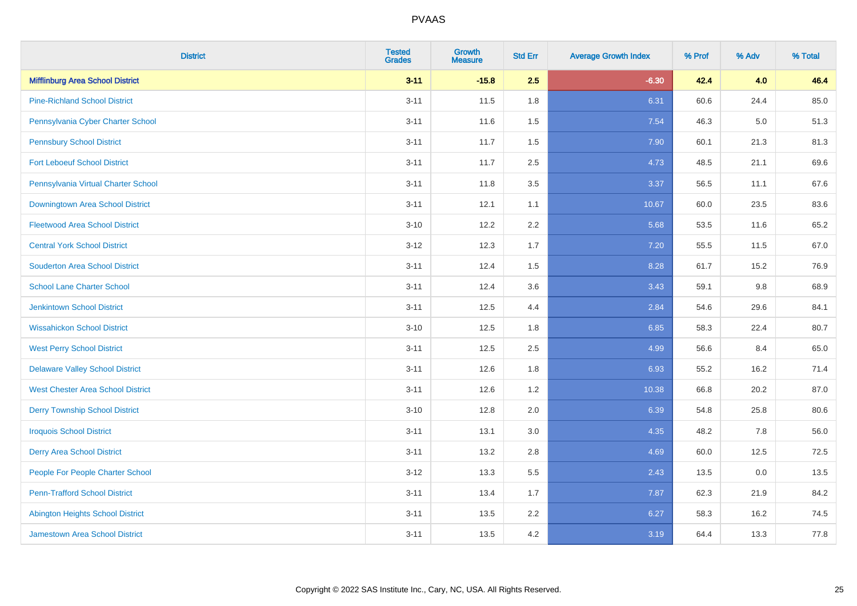| <b>District</b>                          | <b>Tested</b><br><b>Grades</b> | <b>Growth</b><br><b>Measure</b> | <b>Std Err</b> | <b>Average Growth Index</b> | % Prof | % Adv | % Total |
|------------------------------------------|--------------------------------|---------------------------------|----------------|-----------------------------|--------|-------|---------|
| <b>Mifflinburg Area School District</b>  | $3 - 11$                       | $-15.8$                         | 2.5            | $-6.30$                     | 42.4   | 4.0   | 46.4    |
| <b>Pine-Richland School District</b>     | $3 - 11$                       | 11.5                            | 1.8            | 6.31                        | 60.6   | 24.4  | 85.0    |
| Pennsylvania Cyber Charter School        | $3 - 11$                       | 11.6                            | 1.5            | 7.54                        | 46.3   | 5.0   | 51.3    |
| <b>Pennsbury School District</b>         | $3 - 11$                       | 11.7                            | 1.5            | 7.90                        | 60.1   | 21.3  | 81.3    |
| <b>Fort Leboeuf School District</b>      | $3 - 11$                       | 11.7                            | 2.5            | 4.73                        | 48.5   | 21.1  | 69.6    |
| Pennsylvania Virtual Charter School      | $3 - 11$                       | 11.8                            | 3.5            | 3.37                        | 56.5   | 11.1  | 67.6    |
| Downingtown Area School District         | $3 - 11$                       | 12.1                            | 1.1            | 10.67                       | 60.0   | 23.5  | 83.6    |
| <b>Fleetwood Area School District</b>    | $3 - 10$                       | 12.2                            | 2.2            | 5.68                        | 53.5   | 11.6  | 65.2    |
| <b>Central York School District</b>      | $3 - 12$                       | 12.3                            | 1.7            | 7.20                        | 55.5   | 11.5  | 67.0    |
| <b>Souderton Area School District</b>    | $3 - 11$                       | 12.4                            | 1.5            | 8.28                        | 61.7   | 15.2  | 76.9    |
| <b>School Lane Charter School</b>        | $3 - 11$                       | 12.4                            | 3.6            | 3.43                        | 59.1   | 9.8   | 68.9    |
| <b>Jenkintown School District</b>        | $3 - 11$                       | 12.5                            | 4.4            | 2.84                        | 54.6   | 29.6  | 84.1    |
| <b>Wissahickon School District</b>       | $3 - 10$                       | 12.5                            | 1.8            | 6.85                        | 58.3   | 22.4  | 80.7    |
| <b>West Perry School District</b>        | $3 - 11$                       | 12.5                            | 2.5            | 4.99                        | 56.6   | 8.4   | 65.0    |
| <b>Delaware Valley School District</b>   | $3 - 11$                       | 12.6                            | 1.8            | 6.93                        | 55.2   | 16.2  | 71.4    |
| <b>West Chester Area School District</b> | $3 - 11$                       | 12.6                            | 1.2            | 10.38                       | 66.8   | 20.2  | 87.0    |
| <b>Derry Township School District</b>    | $3 - 10$                       | 12.8                            | 2.0            | 6.39                        | 54.8   | 25.8  | 80.6    |
| <b>Iroquois School District</b>          | $3 - 11$                       | 13.1                            | 3.0            | 4.35                        | 48.2   | 7.8   | 56.0    |
| <b>Derry Area School District</b>        | $3 - 11$                       | 13.2                            | 2.8            | 4.69                        | 60.0   | 12.5  | 72.5    |
| People For People Charter School         | $3 - 12$                       | 13.3                            | 5.5            | 2.43                        | 13.5   | 0.0   | 13.5    |
| <b>Penn-Trafford School District</b>     | $3 - 11$                       | 13.4                            | 1.7            | 7.87                        | 62.3   | 21.9  | 84.2    |
| <b>Abington Heights School District</b>  | $3 - 11$                       | 13.5                            | 2.2            | 6.27                        | 58.3   | 16.2  | 74.5    |
| <b>Jamestown Area School District</b>    | $3 - 11$                       | 13.5                            | 4.2            | 3.19                        | 64.4   | 13.3  | 77.8    |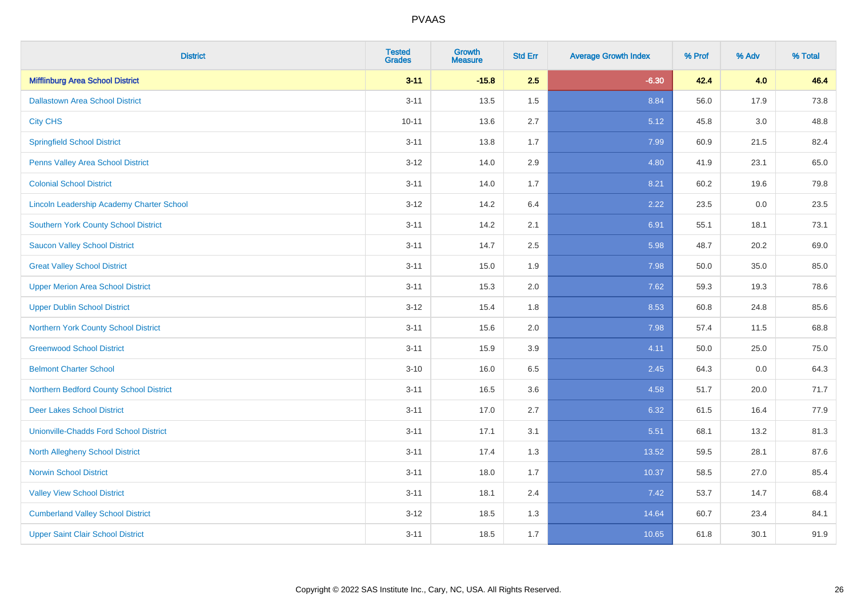| <b>District</b>                                  | <b>Tested</b><br><b>Grades</b> | <b>Growth</b><br><b>Measure</b> | <b>Std Err</b> | <b>Average Growth Index</b> | % Prof | % Adv   | % Total |
|--------------------------------------------------|--------------------------------|---------------------------------|----------------|-----------------------------|--------|---------|---------|
| <b>Mifflinburg Area School District</b>          | $3 - 11$                       | $-15.8$                         | 2.5            | $-6.30$                     | 42.4   | 4.0     | 46.4    |
| <b>Dallastown Area School District</b>           | $3 - 11$                       | 13.5                            | 1.5            | 8.84                        | 56.0   | 17.9    | 73.8    |
| <b>City CHS</b>                                  | $10 - 11$                      | 13.6                            | 2.7            | 5.12                        | 45.8   | 3.0     | 48.8    |
| <b>Springfield School District</b>               | $3 - 11$                       | 13.8                            | 1.7            | 7.99                        | 60.9   | 21.5    | 82.4    |
| Penns Valley Area School District                | $3 - 12$                       | 14.0                            | 2.9            | 4.80                        | 41.9   | 23.1    | 65.0    |
| <b>Colonial School District</b>                  | $3 - 11$                       | 14.0                            | 1.7            | 8.21                        | 60.2   | 19.6    | 79.8    |
| <b>Lincoln Leadership Academy Charter School</b> | $3 - 12$                       | 14.2                            | 6.4            | 2.22                        | 23.5   | $0.0\,$ | 23.5    |
| <b>Southern York County School District</b>      | $3 - 11$                       | 14.2                            | 2.1            | 6.91                        | 55.1   | 18.1    | 73.1    |
| <b>Saucon Valley School District</b>             | $3 - 11$                       | 14.7                            | 2.5            | 5.98                        | 48.7   | 20.2    | 69.0    |
| <b>Great Valley School District</b>              | $3 - 11$                       | 15.0                            | 1.9            | 7.98                        | 50.0   | 35.0    | 85.0    |
| <b>Upper Merion Area School District</b>         | $3 - 11$                       | 15.3                            | 2.0            | 7.62                        | 59.3   | 19.3    | 78.6    |
| <b>Upper Dublin School District</b>              | $3 - 12$                       | 15.4                            | 1.8            | 8.53                        | 60.8   | 24.8    | 85.6    |
| Northern York County School District             | $3 - 11$                       | 15.6                            | 2.0            | 7.98                        | 57.4   | 11.5    | 68.8    |
| <b>Greenwood School District</b>                 | $3 - 11$                       | 15.9                            | 3.9            | 4.11                        | 50.0   | 25.0    | 75.0    |
| <b>Belmont Charter School</b>                    | $3 - 10$                       | 16.0                            | 6.5            | 2.45                        | 64.3   | 0.0     | 64.3    |
| Northern Bedford County School District          | $3 - 11$                       | 16.5                            | 3.6            | 4.58                        | 51.7   | 20.0    | 71.7    |
| <b>Deer Lakes School District</b>                | $3 - 11$                       | 17.0                            | 2.7            | 6.32                        | 61.5   | 16.4    | 77.9    |
| <b>Unionville-Chadds Ford School District</b>    | $3 - 11$                       | 17.1                            | 3.1            | 5.51                        | 68.1   | 13.2    | 81.3    |
| <b>North Allegheny School District</b>           | $3 - 11$                       | 17.4                            | 1.3            | 13.52                       | 59.5   | 28.1    | 87.6    |
| <b>Norwin School District</b>                    | $3 - 11$                       | 18.0                            | 1.7            | 10.37                       | 58.5   | 27.0    | 85.4    |
| <b>Valley View School District</b>               | $3 - 11$                       | 18.1                            | 2.4            | 7.42                        | 53.7   | 14.7    | 68.4    |
| <b>Cumberland Valley School District</b>         | $3 - 12$                       | 18.5                            | 1.3            | 14.64                       | 60.7   | 23.4    | 84.1    |
| <b>Upper Saint Clair School District</b>         | $3 - 11$                       | 18.5                            | 1.7            | 10.65                       | 61.8   | 30.1    | 91.9    |